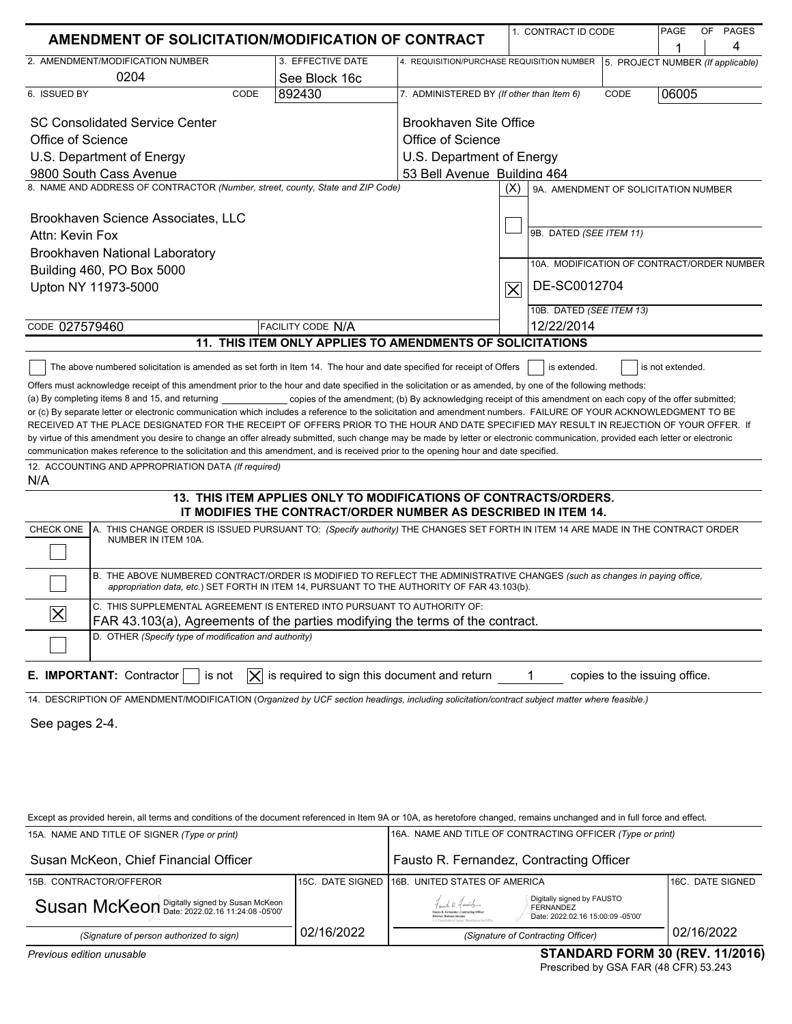| AMENDMENT OF SOLICITATION/MODIFICATION OF CONTRACT                                                                                                                                                                                                                                                                                                                                                                                                                                                                                                                                                                                                                                                                                                                                                                                                                                                                                                                                                                                                                                                                                                                                                                                                                                                                                                       |                                                                                                                                    |                                                                              | 1. CONTRACT ID CODE                         |                               | PAGE             | OF PAGES |
|----------------------------------------------------------------------------------------------------------------------------------------------------------------------------------------------------------------------------------------------------------------------------------------------------------------------------------------------------------------------------------------------------------------------------------------------------------------------------------------------------------------------------------------------------------------------------------------------------------------------------------------------------------------------------------------------------------------------------------------------------------------------------------------------------------------------------------------------------------------------------------------------------------------------------------------------------------------------------------------------------------------------------------------------------------------------------------------------------------------------------------------------------------------------------------------------------------------------------------------------------------------------------------------------------------------------------------------------------------|------------------------------------------------------------------------------------------------------------------------------------|------------------------------------------------------------------------------|---------------------------------------------|-------------------------------|------------------|----------|
| 2. AMENDMENT/MODIFICATION NUMBER                                                                                                                                                                                                                                                                                                                                                                                                                                                                                                                                                                                                                                                                                                                                                                                                                                                                                                                                                                                                                                                                                                                                                                                                                                                                                                                         | 3. EFFECTIVE DATE                                                                                                                  |                                                                              |                                             |                               | 1                | 4        |
| 0204                                                                                                                                                                                                                                                                                                                                                                                                                                                                                                                                                                                                                                                                                                                                                                                                                                                                                                                                                                                                                                                                                                                                                                                                                                                                                                                                                     | See Block 16c                                                                                                                      | 4. REQUISITION/PURCHASE REQUISITION NUMBER 5. PROJECT NUMBER (If applicable) |                                             |                               |                  |          |
| 6. ISSUED BY<br>CODE                                                                                                                                                                                                                                                                                                                                                                                                                                                                                                                                                                                                                                                                                                                                                                                                                                                                                                                                                                                                                                                                                                                                                                                                                                                                                                                                     | 892430                                                                                                                             | 7. ADMINISTERED BY (If other than Item 6)                                    |                                             | CODE                          | 06005            |          |
|                                                                                                                                                                                                                                                                                                                                                                                                                                                                                                                                                                                                                                                                                                                                                                                                                                                                                                                                                                                                                                                                                                                                                                                                                                                                                                                                                          |                                                                                                                                    |                                                                              |                                             |                               |                  |          |
| <b>SC Consolidated Service Center</b>                                                                                                                                                                                                                                                                                                                                                                                                                                                                                                                                                                                                                                                                                                                                                                                                                                                                                                                                                                                                                                                                                                                                                                                                                                                                                                                    |                                                                                                                                    | Brookhaven Site Office                                                       |                                             |                               |                  |          |
| Office of Science                                                                                                                                                                                                                                                                                                                                                                                                                                                                                                                                                                                                                                                                                                                                                                                                                                                                                                                                                                                                                                                                                                                                                                                                                                                                                                                                        |                                                                                                                                    | Office of Science                                                            |                                             |                               |                  |          |
| U.S. Department of Energy                                                                                                                                                                                                                                                                                                                                                                                                                                                                                                                                                                                                                                                                                                                                                                                                                                                                                                                                                                                                                                                                                                                                                                                                                                                                                                                                |                                                                                                                                    | U.S. Department of Energy                                                    |                                             |                               |                  |          |
| 9800 South Cass Avenue                                                                                                                                                                                                                                                                                                                                                                                                                                                                                                                                                                                                                                                                                                                                                                                                                                                                                                                                                                                                                                                                                                                                                                                                                                                                                                                                   |                                                                                                                                    | 53 Bell Avenue Building 464                                                  |                                             |                               |                  |          |
| 8. NAME AND ADDRESS OF CONTRACTOR (Number, street, county, State and ZIP Code)                                                                                                                                                                                                                                                                                                                                                                                                                                                                                                                                                                                                                                                                                                                                                                                                                                                                                                                                                                                                                                                                                                                                                                                                                                                                           |                                                                                                                                    |                                                                              | (X)<br>9A. AMENDMENT OF SOLICITATION NUMBER |                               |                  |          |
|                                                                                                                                                                                                                                                                                                                                                                                                                                                                                                                                                                                                                                                                                                                                                                                                                                                                                                                                                                                                                                                                                                                                                                                                                                                                                                                                                          |                                                                                                                                    |                                                                              |                                             |                               |                  |          |
| Brookhaven Science Associates, LLC                                                                                                                                                                                                                                                                                                                                                                                                                                                                                                                                                                                                                                                                                                                                                                                                                                                                                                                                                                                                                                                                                                                                                                                                                                                                                                                       |                                                                                                                                    |                                                                              | 9B. DATED (SEE ITEM 11)                     |                               |                  |          |
| Attn: Kevin Fox                                                                                                                                                                                                                                                                                                                                                                                                                                                                                                                                                                                                                                                                                                                                                                                                                                                                                                                                                                                                                                                                                                                                                                                                                                                                                                                                          |                                                                                                                                    |                                                                              |                                             |                               |                  |          |
| Brookhaven National Laboratory                                                                                                                                                                                                                                                                                                                                                                                                                                                                                                                                                                                                                                                                                                                                                                                                                                                                                                                                                                                                                                                                                                                                                                                                                                                                                                                           |                                                                                                                                    |                                                                              | 10A. MODIFICATION OF CONTRACT/ORDER NUMBER  |                               |                  |          |
| Building 460, PO Box 5000                                                                                                                                                                                                                                                                                                                                                                                                                                                                                                                                                                                                                                                                                                                                                                                                                                                                                                                                                                                                                                                                                                                                                                                                                                                                                                                                |                                                                                                                                    |                                                                              | DE-SC0012704                                |                               |                  |          |
| Upton NY 11973-5000                                                                                                                                                                                                                                                                                                                                                                                                                                                                                                                                                                                                                                                                                                                                                                                                                                                                                                                                                                                                                                                                                                                                                                                                                                                                                                                                      |                                                                                                                                    |                                                                              | $\overline{\bm{\times}}$                    |                               |                  |          |
|                                                                                                                                                                                                                                                                                                                                                                                                                                                                                                                                                                                                                                                                                                                                                                                                                                                                                                                                                                                                                                                                                                                                                                                                                                                                                                                                                          |                                                                                                                                    |                                                                              | 10B. DATED (SEE ITEM 13)                    |                               |                  |          |
| CODE 027579460                                                                                                                                                                                                                                                                                                                                                                                                                                                                                                                                                                                                                                                                                                                                                                                                                                                                                                                                                                                                                                                                                                                                                                                                                                                                                                                                           | FACILITY CODE N/A                                                                                                                  |                                                                              | 12/22/2014                                  |                               |                  |          |
|                                                                                                                                                                                                                                                                                                                                                                                                                                                                                                                                                                                                                                                                                                                                                                                                                                                                                                                                                                                                                                                                                                                                                                                                                                                                                                                                                          | 11. THIS ITEM ONLY APPLIES TO AMENDMENTS OF SOLICITATIONS                                                                          |                                                                              |                                             |                               |                  |          |
| The above numbered solicitation is amended as set forth in Item 14. The hour and date specified for receipt of Offers                                                                                                                                                                                                                                                                                                                                                                                                                                                                                                                                                                                                                                                                                                                                                                                                                                                                                                                                                                                                                                                                                                                                                                                                                                    |                                                                                                                                    |                                                                              | is extended.                                |                               | is not extended. |          |
| or (c) By separate letter or electronic communication which includes a reference to the solicitation and amendment numbers. FAILURE OF YOUR ACKNOWLEDGMENT TO BE<br>RECEIVED AT THE PLACE DESIGNATED FOR THE RECEIPT OF OFFERS PRIOR TO THE HOUR AND DATE SPECIFIED MAY RESULT IN REJECTION OF YOUR OFFER. If<br>by virtue of this amendment you desire to change an offer already submitted, such change may be made by letter or electronic communication, provided each letter or electronic<br>communication makes reference to the solicitation and this amendment, and is received prior to the opening hour and date specified.<br>12. ACCOUNTING AND APPROPRIATION DATA (If required)<br>N/A<br>A. THIS CHANGE ORDER IS ISSUED PURSUANT TO: (Specify authority) THE CHANGES SET FORTH IN ITEM 14 ARE MADE IN THE CONTRACT ORDER<br>CHECK ONE<br>NUMBER IN ITEM 10A.<br>B. THE ABOVE NUMBERED CONTRACT/ORDER IS MODIFIED TO REFLECT THE ADMINISTRATIVE CHANGES (such as changes in paying office,<br>appropriation data, etc.) SET FORTH IN ITEM 14, PURSUANT TO THE AUTHORITY OF FAR 43.103(b).<br>C. THIS SUPPLEMENTAL AGREEMENT IS ENTERED INTO PURSUANT TO AUTHORITY OF:<br>$\overline{\mathsf{X}}$<br>FAR 43.103(a), Agreements of the parties modifying the terms of the contract.<br>D. OTHER (Specify type of modification and authority) | 13. THIS ITEM APPLIES ONLY TO MODIFICATIONS OF CONTRACTS/ORDERS.<br>IT MODIFIES THE CONTRACT/ORDER NUMBER AS DESCRIBED IN ITEM 14. |                                                                              |                                             |                               |                  |          |
| E. IMPORTANT: Contractor<br>is not<br>IXI<br>14. DESCRIPTION OF AMENDMENT/MODIFICATION (Organized by UCF section headings, including solicitation/contract subject matter where feasible.)                                                                                                                                                                                                                                                                                                                                                                                                                                                                                                                                                                                                                                                                                                                                                                                                                                                                                                                                                                                                                                                                                                                                                               | is required to sign this document and return                                                                                       |                                                                              | 1                                           | copies to the issuing office. |                  |          |
| See pages 2-4.                                                                                                                                                                                                                                                                                                                                                                                                                                                                                                                                                                                                                                                                                                                                                                                                                                                                                                                                                                                                                                                                                                                                                                                                                                                                                                                                           |                                                                                                                                    |                                                                              |                                             |                               |                  |          |
| Except as provided herein, all terms and conditions of the document referenced in Item 9A or 10A, as heretofore changed, remains unchanged and in full force and effect.<br>15A. NAME AND TITLE OF SIGNER (Type or print)                                                                                                                                                                                                                                                                                                                                                                                                                                                                                                                                                                                                                                                                                                                                                                                                                                                                                                                                                                                                                                                                                                                                |                                                                                                                                    | 16A. NAME AND TITLE OF CONTRACTING OFFICER (Type or print)                   |                                             |                               |                  |          |
| Susan McKeon, Chief Financial Officer                                                                                                                                                                                                                                                                                                                                                                                                                                                                                                                                                                                                                                                                                                                                                                                                                                                                                                                                                                                                                                                                                                                                                                                                                                                                                                                    |                                                                                                                                    | Fausto R. Fernandez, Contracting Officer                                     |                                             |                               |                  |          |
|                                                                                                                                                                                                                                                                                                                                                                                                                                                                                                                                                                                                                                                                                                                                                                                                                                                                                                                                                                                                                                                                                                                                                                                                                                                                                                                                                          |                                                                                                                                    |                                                                              |                                             |                               |                  |          |

| $\sim$<br>                                    |            | CTANDADD FODM OO (DEV, 4410040)                                                                                                                                                                                                   |                   |
|-----------------------------------------------|------------|-----------------------------------------------------------------------------------------------------------------------------------------------------------------------------------------------------------------------------------|-------------------|
| (Signature of person authorized to sign)      | 02/16/2022 | (Signature of Contracting Officer)                                                                                                                                                                                                | 02/16/2022        |
| Susan McKeon Digitally signed by Susan McKeon |            | Digitally signed by FAUSTO<br>Fauto R. Family<br>FERNANDEZ<br>Fassia R. Fernandez   Contractine Officer<br>Date: 2022.02.16 15:00:09 -05'00'<br>Director, Business Division<br>U.S. Department of Energy   Brookhaven Site Office |                   |
| 15B. CONTRACTOR/OFFEROR                       |            | 115C. DATE SIGNED 116B. UNITED STATES OF AMERICA                                                                                                                                                                                  | 116C. DATE SIGNED |
|                                               |            |                                                                                                                                                                                                                                   |                   |

#### **STANDARD FORM 30 (REV. 11/2016)**

Prescribed by GSA FAR (48 CFR) 53.243

*Previous edition unusable*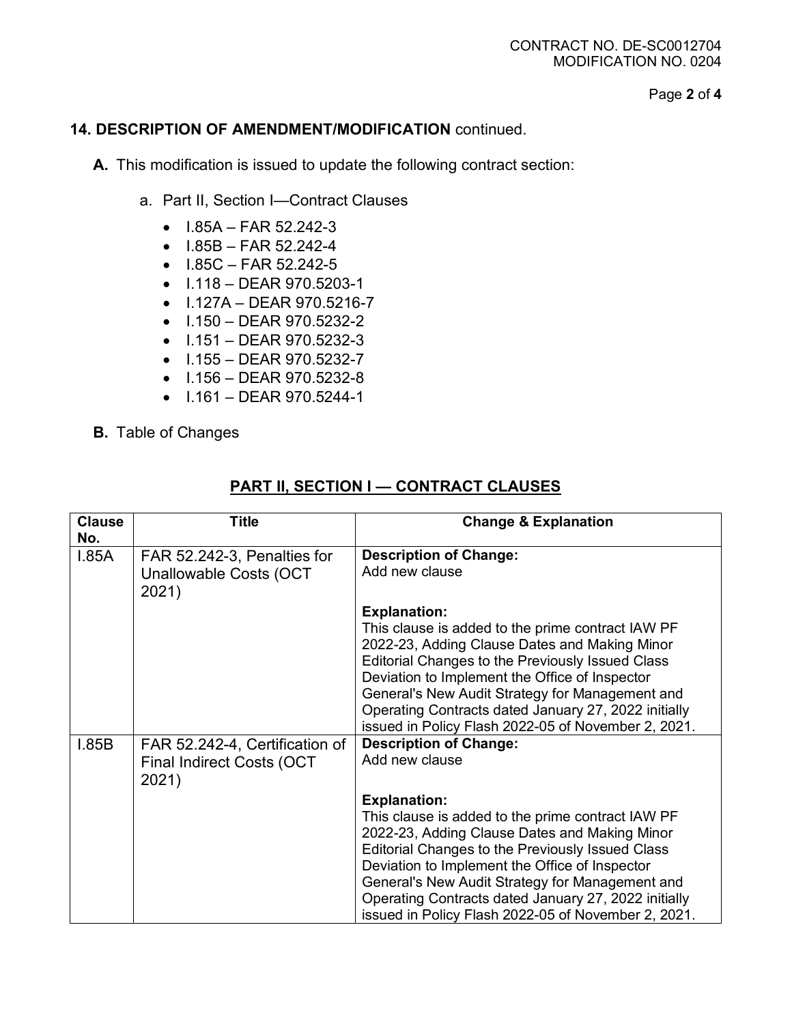Page **2** of **4**

#### **14. DESCRIPTION OF AMENDMENT/MODIFICATION** continued.

**A.** This modification is issued to update the following contract section:

- a. Part II, Section I—Contract Clauses
	- $\bullet$  1.85A FAR 52.242-3
	- $\bullet$  1.85B FAR 52.242-4
	- $\bullet$  1.85C FAR 52.242-5
	- I.118 DEAR 970.5203-1
	- I.127A DEAR 970.5216-7
	- $\bullet$  1.150 DEAR 970.5232-2
	- $\bullet$  1.151 DEAR 970.5232-3
	- I.155 DEAR 970.5232-7
	- I.156 DEAR 970.5232-8
	- $\bullet$  1.161 DEAR 970.5244-1
- **B.** Table of Changes

# **PART II, SECTION I — CONTRACT CLAUSES**

| <b>Clause</b><br>No. | <b>Title</b>                                                                | <b>Change &amp; Explanation</b>                                                                                                                                                                                                                                                                                                                                                                   |
|----------------------|-----------------------------------------------------------------------------|---------------------------------------------------------------------------------------------------------------------------------------------------------------------------------------------------------------------------------------------------------------------------------------------------------------------------------------------------------------------------------------------------|
| 1.85A                | FAR 52.242-3, Penalties for<br>Unallowable Costs (OCT<br>2021)              | <b>Description of Change:</b><br>Add new clause                                                                                                                                                                                                                                                                                                                                                   |
|                      |                                                                             | <b>Explanation:</b><br>This clause is added to the prime contract IAW PF<br>2022-23, Adding Clause Dates and Making Minor<br>Editorial Changes to the Previously Issued Class<br>Deviation to Implement the Office of Inspector<br>General's New Audit Strategy for Management and<br>Operating Contracts dated January 27, 2022 initially<br>issued in Policy Flash 2022-05 of November 2, 2021. |
| 1.85B                | FAR 52.242-4, Certification of<br><b>Final Indirect Costs (OCT</b><br>2021) | <b>Description of Change:</b><br>Add new clause                                                                                                                                                                                                                                                                                                                                                   |
|                      |                                                                             | <b>Explanation:</b><br>This clause is added to the prime contract IAW PF<br>2022-23, Adding Clause Dates and Making Minor<br>Editorial Changes to the Previously Issued Class<br>Deviation to Implement the Office of Inspector<br>General's New Audit Strategy for Management and<br>Operating Contracts dated January 27, 2022 initially<br>issued in Policy Flash 2022-05 of November 2, 2021. |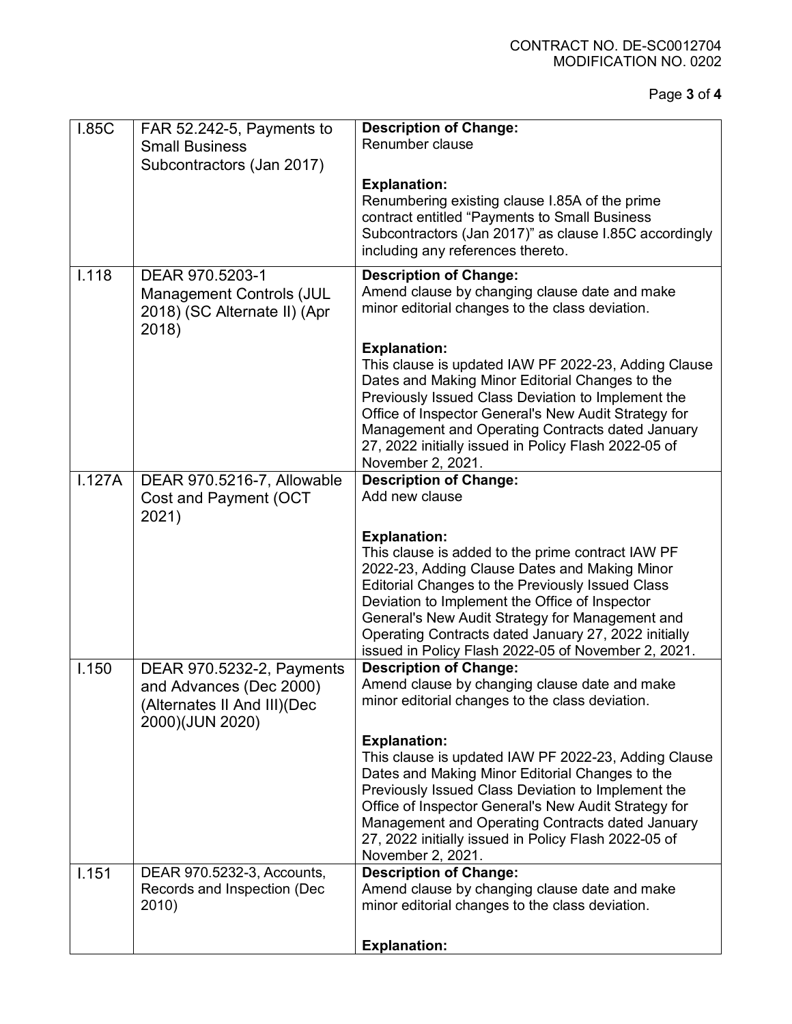Page **3** of **4**

| <b>I.85C</b> | FAR 52.242-5, Payments to       | <b>Description of Change:</b>                                                                              |
|--------------|---------------------------------|------------------------------------------------------------------------------------------------------------|
|              | <b>Small Business</b>           | Renumber clause                                                                                            |
|              | Subcontractors (Jan 2017)       |                                                                                                            |
|              |                                 | <b>Explanation:</b>                                                                                        |
|              |                                 | Renumbering existing clause I.85A of the prime                                                             |
|              |                                 | contract entitled "Payments to Small Business                                                              |
|              |                                 | Subcontractors (Jan 2017)" as clause I.85C accordingly                                                     |
|              |                                 | including any references thereto.                                                                          |
| I.118        | DEAR 970.5203-1                 | <b>Description of Change:</b>                                                                              |
|              | <b>Management Controls (JUL</b> | Amend clause by changing clause date and make                                                              |
|              | 2018) (SC Alternate II) (Apr    | minor editorial changes to the class deviation.                                                            |
|              | 2018)                           |                                                                                                            |
|              |                                 | <b>Explanation:</b>                                                                                        |
|              |                                 | This clause is updated IAW PF 2022-23, Adding Clause                                                       |
|              |                                 | Dates and Making Minor Editorial Changes to the                                                            |
|              |                                 | Previously Issued Class Deviation to Implement the<br>Office of Inspector General's New Audit Strategy for |
|              |                                 | Management and Operating Contracts dated January                                                           |
|              |                                 | 27, 2022 initially issued in Policy Flash 2022-05 of                                                       |
|              |                                 | November 2, 2021.                                                                                          |
| 1.127A       | DEAR 970.5216-7, Allowable      | <b>Description of Change:</b>                                                                              |
|              | Cost and Payment (OCT           | Add new clause                                                                                             |
|              | 2021)                           |                                                                                                            |
|              |                                 | <b>Explanation:</b>                                                                                        |
|              |                                 | This clause is added to the prime contract IAW PF                                                          |
|              |                                 | 2022-23, Adding Clause Dates and Making Minor                                                              |
|              |                                 | Editorial Changes to the Previously Issued Class<br>Deviation to Implement the Office of Inspector         |
|              |                                 | General's New Audit Strategy for Management and                                                            |
|              |                                 | Operating Contracts dated January 27, 2022 initially                                                       |
|              |                                 | issued in Policy Flash 2022-05 of November 2, 2021.                                                        |
| 1.150        | DEAR 970.5232-2, Payments       | <b>Description of Change:</b>                                                                              |
|              | and Advances (Dec 2000)         | Amend clause by changing clause date and make                                                              |
|              | (Alternates II And III)(Dec     | minor editorial changes to the class deviation.                                                            |
|              | 2000)(JUN 2020)                 |                                                                                                            |
|              |                                 | <b>Explanation:</b>                                                                                        |
|              |                                 | This clause is updated IAW PF 2022-23, Adding Clause                                                       |
|              |                                 | Dates and Making Minor Editorial Changes to the                                                            |
|              |                                 | Previously Issued Class Deviation to Implement the<br>Office of Inspector General's New Audit Strategy for |
|              |                                 | Management and Operating Contracts dated January                                                           |
|              |                                 | 27, 2022 initially issued in Policy Flash 2022-05 of                                                       |
|              |                                 | November 2, 2021.                                                                                          |
| 1.151        | DEAR 970.5232-3, Accounts,      | <b>Description of Change:</b>                                                                              |
|              | Records and Inspection (Dec     | Amend clause by changing clause date and make                                                              |
|              | 2010)                           | minor editorial changes to the class deviation.                                                            |
|              |                                 |                                                                                                            |
|              |                                 | <b>Explanation:</b>                                                                                        |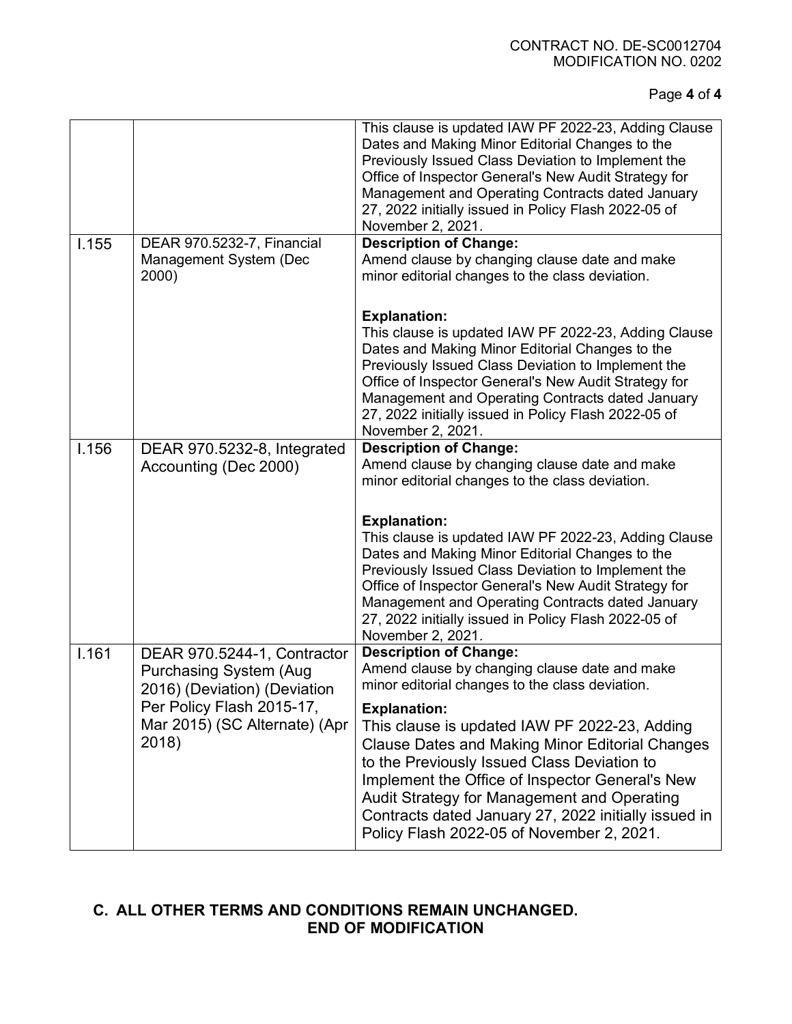Page **4** of **4**

|       |                                                                                              | This clause is updated IAW PF 2022-23, Adding Clause<br>Dates and Making Minor Editorial Changes to the<br>Previously Issued Class Deviation to Implement the<br>Office of Inspector General's New Audit Strategy for<br>Management and Operating Contracts dated January<br>27, 2022 initially issued in Policy Flash 2022-05 of<br>November 2, 2021.                               |
|-------|----------------------------------------------------------------------------------------------|--------------------------------------------------------------------------------------------------------------------------------------------------------------------------------------------------------------------------------------------------------------------------------------------------------------------------------------------------------------------------------------|
| 1.155 | DEAR 970.5232-7, Financial<br>Management System (Dec<br>2000)                                | <b>Description of Change:</b><br>Amend clause by changing clause date and make<br>minor editorial changes to the class deviation.                                                                                                                                                                                                                                                    |
|       |                                                                                              | <b>Explanation:</b><br>This clause is updated IAW PF 2022-23, Adding Clause<br>Dates and Making Minor Editorial Changes to the<br>Previously Issued Class Deviation to Implement the<br>Office of Inspector General's New Audit Strategy for<br>Management and Operating Contracts dated January<br>27, 2022 initially issued in Policy Flash 2022-05 of<br>November 2, 2021.        |
| 1.156 | DEAR 970.5232-8, Integrated<br>Accounting (Dec 2000)                                         | <b>Description of Change:</b><br>Amend clause by changing clause date and make<br>minor editorial changes to the class deviation.                                                                                                                                                                                                                                                    |
|       |                                                                                              | <b>Explanation:</b><br>This clause is updated IAW PF 2022-23, Adding Clause<br>Dates and Making Minor Editorial Changes to the<br>Previously Issued Class Deviation to Implement the<br>Office of Inspector General's New Audit Strategy for<br>Management and Operating Contracts dated January<br>27, 2022 initially issued in Policy Flash 2022-05 of<br>November 2, 2021.        |
| 1.161 | DEAR 970.5244-1, Contractor<br><b>Purchasing System (Aug</b><br>2016) (Deviation) (Deviation | <b>Description of Change:</b><br>Amend clause by changing clause date and make<br>minor editorial changes to the class deviation.                                                                                                                                                                                                                                                    |
|       | Per Policy Flash 2015-17,<br>Mar 2015) (SC Alternate) (Apr<br>2018)                          | <b>Explanation:</b><br>This clause is updated IAW PF 2022-23, Adding<br><b>Clause Dates and Making Minor Editorial Changes</b><br>to the Previously Issued Class Deviation to<br>Implement the Office of Inspector General's New<br>Audit Strategy for Management and Operating<br>Contracts dated January 27, 2022 initially issued in<br>Policy Flash 2022-05 of November 2, 2021. |

# **C. ALL OTHER TERMS AND CONDITIONS REMAIN UNCHANGED. END OF MODIFICATION**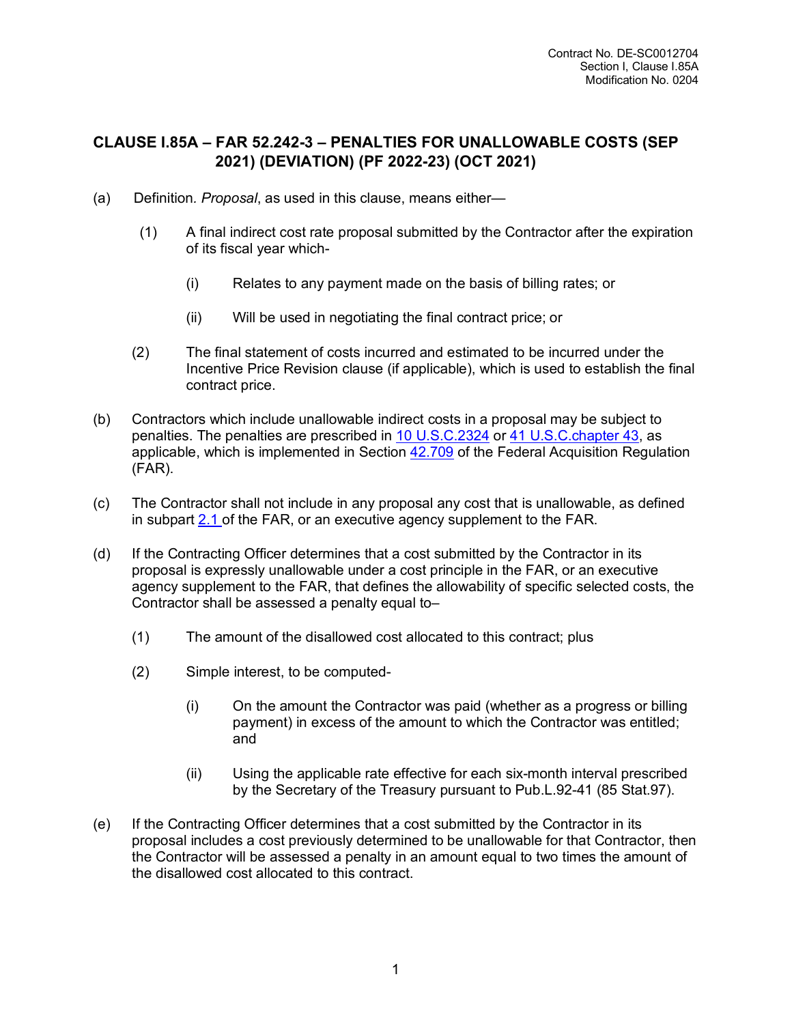# **CLAUSE I.85A – FAR 52.242-3 – PENALTIES FOR UNALLOWABLE COSTS (SEP 2021) (DEVIATION) (PF 2022-23) (OCT 2021)**

- (a) Definition*. Proposal*, as used in this clause, means either—
	- (1) A final indirect cost rate proposal submitted by the Contractor after the expiration of its fiscal year which-
		- (i) Relates to any payment made on the basis of billing rates; or
		- (ii) Will be used in negotiating the final contract price; or
	- (2) The final statement of costs incurred and estimated to be incurred under the Incentive Price Revision clause (if applicable), which is used to establish the final contract price.
- (b) Contractors which include unallowable indirect costs in a proposal may be subject to penalties. The penalties are prescribed in [10](http://uscode.house.gov/browse.xhtml;jsessionid=114A3287C7B3359E597506A31FC855B3) [U.S.C.2324](http://uscode.house.gov/browse.xhtml;jsessionid=114A3287C7B3359E597506A31FC855B3) or 41 [U.S.C.chapter](http://uscode.house.gov/browse.xhtml;jsessionid=114A3287C7B3359E597506A31FC855B3) 43, as applicable, which is implemented in Section [42.709](https://www.acquisition.gov/far/42.709#FAR_42_709) of the Federal Acquisition Regulation (FAR).
- (c) The Contractor shall not include in any proposal any cost that is unallowable, as defined in subpart [2.1](https://www.acquisition.gov/far/subpart-2.1#FAR_Subpart_2_1) of the FAR, or an executive agency supplement to the FAR.
- (d) If the Contracting Officer determines that a cost submitted by the Contractor in its proposal is expressly unallowable under a cost principle in the FAR, or an executive agency supplement to the FAR, that defines the allowability of specific selected costs, the Contractor shall be assessed a penalty equal to–
	- (1) The amount of the disallowed cost allocated to this contract; plus
	- (2) Simple interest, to be computed-
		- (i) On the amount the Contractor was paid (whether as a progress or billing payment) in excess of the amount to which the Contractor was entitled; and
		- (ii) Using the applicable rate effective for each six-month interval prescribed by the Secretary of the Treasury pursuant to Pub.L.92-41 (85 Stat.97).
- (e) If the Contracting Officer determines that a cost submitted by the Contractor in its proposal includes a cost previously determined to be unallowable for that Contractor, then the Contractor will be assessed a penalty in an amount equal to two times the amount of the disallowed cost allocated to this contract.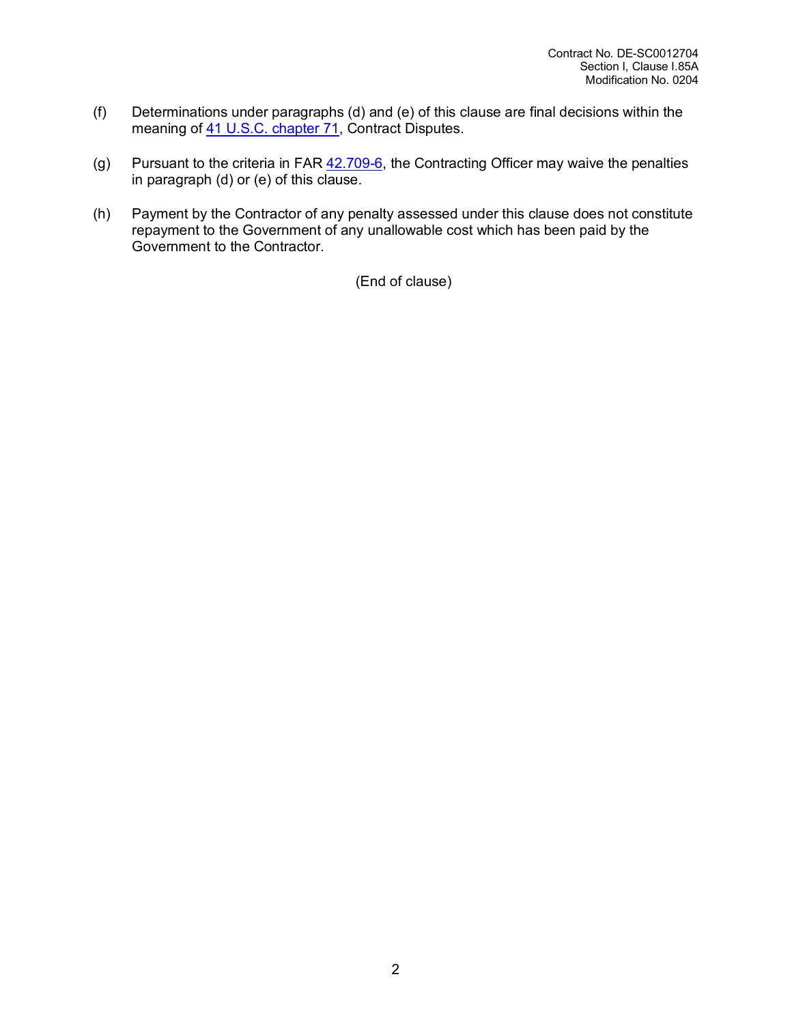- (f) Determinations under paragraphs (d) and (e) of this clause are final decisions within the meaning of 41 U.S.C. [chapter](http://uscode.house.gov/browse.xhtml;jsessionid=114A3287C7B3359E597506A31FC855B3) 71, Contract Disputes.
- (g) Pursuant to the criteria in FAR  $42.709-6$ , the Contracting Officer may waive the penalties in paragraph (d) or (e) of this clause.
- (h) Payment by the Contractor of any penalty assessed under this clause does not constitute repayment to the Government of any unallowable cost which has been paid by the Government to the Contractor.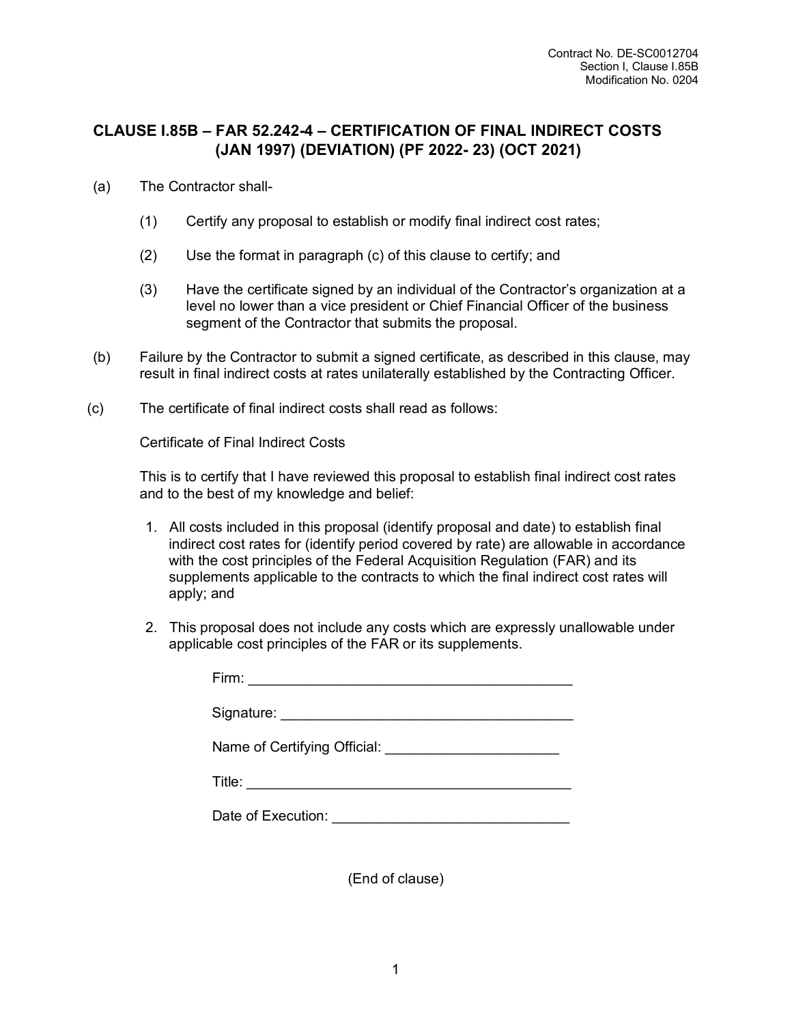# **CLAUSE I.85B – FAR 52.242-4 – CERTIFICATION OF FINAL INDIRECT COSTS (JAN 1997) (DEVIATION) (PF 2022- 23) (OCT 2021)**

- (a) The Contractor shall-
	- (1) Certify any proposal to establish or modify final indirect cost rates;
	- (2) Use the format in paragraph (c) of this clause to certify; and
	- (3) Have the certificate signed by an individual of the Contractor's organization at a level no lower than a vice president or Chief Financial Officer of the business segment of the Contractor that submits the proposal.
- (b) Failure by the Contractor to submit a signed certificate, as described in this clause, may result in final indirect costs at rates unilaterally established by the Contracting Officer.
- (c) The certificate of final indirect costs shall read as follows:

Certificate of Final Indirect Costs

This is to certify that I have reviewed this proposal to establish final indirect cost rates and to the best of my knowledge and belief:

- 1. All costs included in this proposal (identify proposal and date) to establish final indirect cost rates for (identify period covered by rate) are allowable in accordance with the cost principles of the Federal Acquisition Regulation (FAR) and its supplements applicable to the contracts to which the final indirect cost rates will apply; and
- 2. This proposal does not include any costs which are expressly unallowable under applicable cost principles of the FAR or its supplements.

| Firm: $\qquad \qquad$                       |  |
|---------------------------------------------|--|
|                                             |  |
|                                             |  |
|                                             |  |
| Date of Execution: <u>_________________</u> |  |
|                                             |  |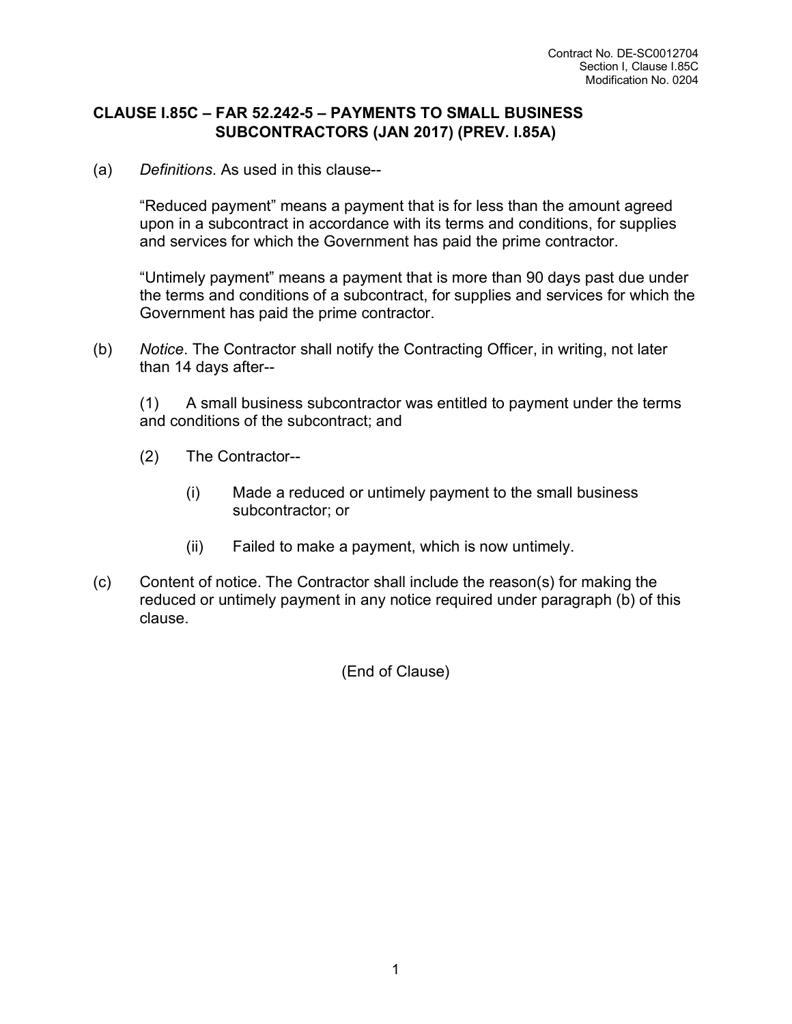#### **CLAUSE I.85C – FAR 52.242-5 – PAYMENTS TO SMALL BUSINESS SUBCONTRACTORS (JAN 2017) (PREV. I.85A)**

(a) *Definitions*. As used in this clause--

"Reduced payment" means a payment that is for less than the amount agreed upon in a subcontract in accordance with its terms and conditions, for supplies and services for which the Government has paid the prime contractor.

"Untimely payment" means a payment that is more than 90 days past due under the terms and conditions of a subcontract, for supplies and services for which the Government has paid the prime contractor.

(b) *Notice*. The Contractor shall notify the Contracting Officer, in writing, not later than 14 days after--

(1) A small business subcontractor was entitled to payment under the terms and conditions of the subcontract; and

- (2) The Contractor--
	- (i) Made a reduced or untimely payment to the small business subcontractor; or
	- (ii) Failed to make a payment, which is now untimely.
- (c) Content of notice. The Contractor shall include the reason(s) for making the reduced or untimely payment in any notice required under paragraph (b) of this clause.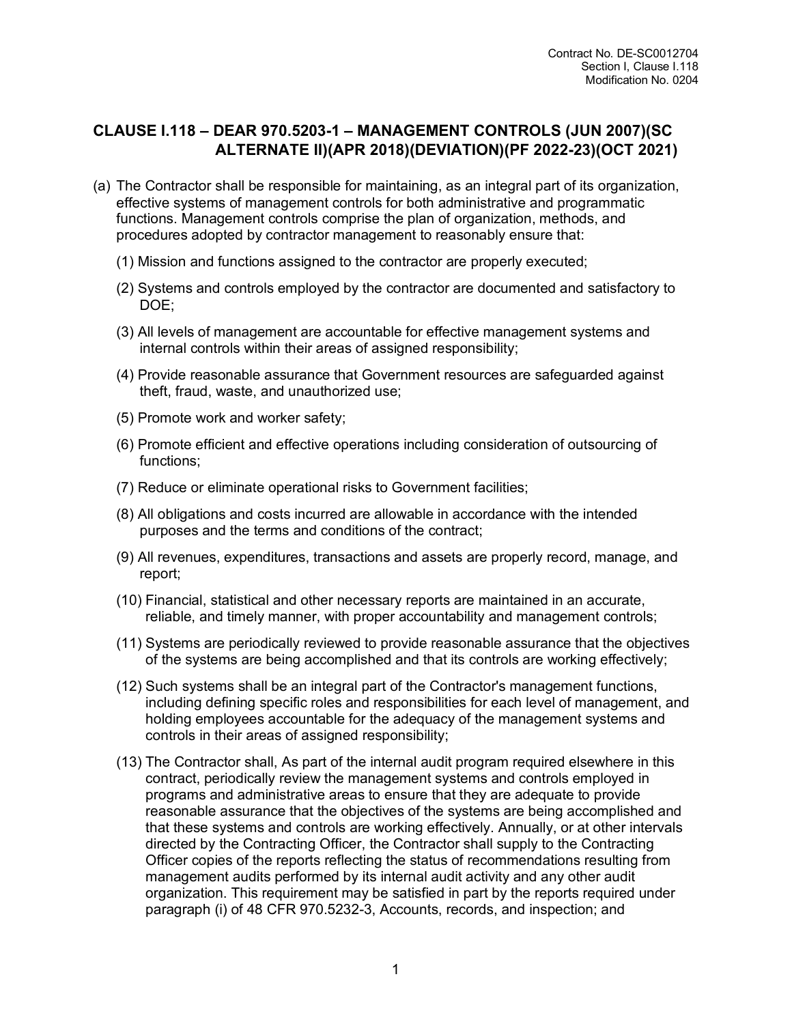### **CLAUSE I.118 – DEAR 970.5203-1 – MANAGEMENT CONTROLS (JUN 2007)(SC ALTERNATE II)(APR 2018)(DEVIATION)(PF 2022-23)(OCT 2021)**

- (a) The Contractor shall be responsible for maintaining, as an integral part of its organization, effective systems of management controls for both administrative and programmatic functions. Management controls comprise the plan of organization, methods, and procedures adopted by contractor management to reasonably ensure that:
	- (1) Mission and functions assigned to the contractor are properly executed;
	- (2) Systems and controls employed by the contractor are documented and satisfactory to DOE;
	- (3) All levels of management are accountable for effective management systems and internal controls within their areas of assigned responsibility;
	- (4) Provide reasonable assurance that Government resources are safeguarded against theft, fraud, waste, and unauthorized use;
	- (5) Promote work and worker safety;
	- (6) Promote efficient and effective operations including consideration of outsourcing of functions;
	- (7) Reduce or eliminate operational risks to Government facilities;
	- (8) All obligations and costs incurred are allowable in accordance with the intended purposes and the terms and conditions of the contract;
	- (9) All revenues, expenditures, transactions and assets are properly record, manage, and report;
	- (10) Financial, statistical and other necessary reports are maintained in an accurate, reliable, and timely manner, with proper accountability and management controls;
	- (11) Systems are periodically reviewed to provide reasonable assurance that the objectives of the systems are being accomplished and that its controls are working effectively;
	- (12) Such systems shall be an integral part of the Contractor's management functions, including defining specific roles and responsibilities for each level of management, and holding employees accountable for the adequacy of the management systems and controls in their areas of assigned responsibility;
	- (13) The Contractor shall, As part of the internal audit program required elsewhere in this contract, periodically review the management systems and controls employed in programs and administrative areas to ensure that they are adequate to provide reasonable assurance that the objectives of the systems are being accomplished and that these systems and controls are working effectively. Annually, or at other intervals directed by the Contracting Officer, the Contractor shall supply to the Contracting Officer copies of the reports reflecting the status of recommendations resulting from management audits performed by its internal audit activity and any other audit organization. This requirement may be satisfied in part by the reports required under paragraph (i) of 48 CFR 970.5232-3, Accounts, records, and inspection; and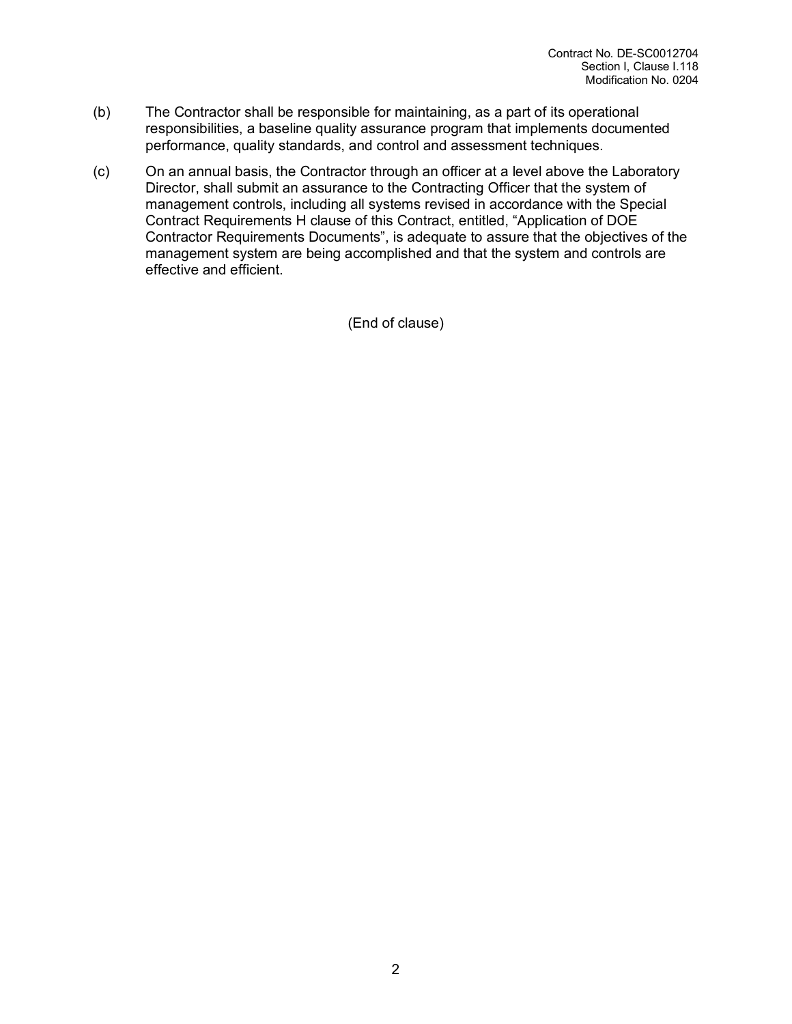- (b) The Contractor shall be responsible for maintaining, as a part of its operational responsibilities, a baseline quality assurance program that implements documented performance, quality standards, and control and assessment techniques.
- (c) On an annual basis, the Contractor through an officer at a level above the Laboratory Director, shall submit an assurance to the Contracting Officer that the system of management controls, including all systems revised in accordance with the Special Contract Requirements H clause of this Contract, entitled, "Application of DOE Contractor Requirements Documents", is adequate to assure that the objectives of the management system are being accomplished and that the system and controls are effective and efficient.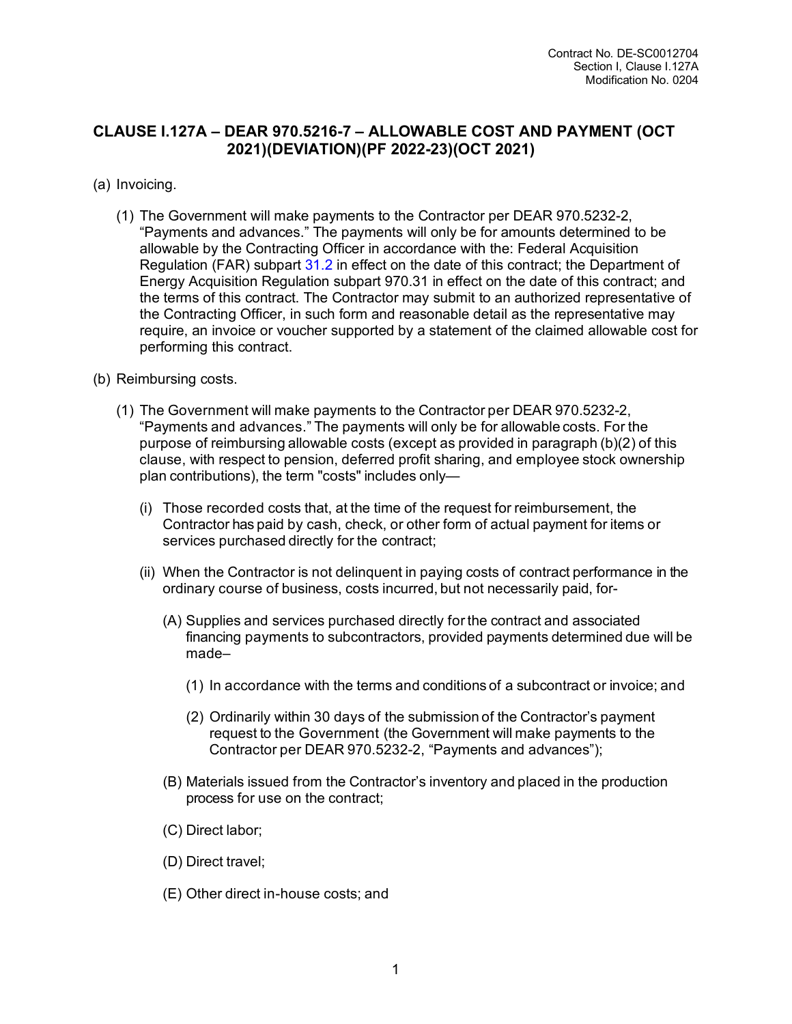### **CLAUSE I.127A – DEAR 970.5216-7 – ALLOWABLE COST AND PAYMENT (OCT 2021)(DEVIATION)(PF 2022-23)(OCT 2021)**

- (a) Invoicing.
	- (1) The Government will make payments to the Contractor per DEAR 970.5232-2, "Payments and advances." The payments will only be for amounts determined to be allowable by the Contracting Officer in accordance with the: Federal Acquisition Regulation (FAR) [subpart 31.2 i](https://www.acquisition.gov/far/subpart-31.2#FAR_Subpart_31_2)n effect on the date of this contract; the Department of Energy Acquisition Regulation subpart 970.31 in effect on the date of this contract; and the terms of this contract. The Contractor may submit to an authorized representative of the Contracting Officer, in such form and reasonable detail as the representative may require, an invoice or voucher supported by a statement of the claimed allowable cost for performing this contract.
- (b) Reimbursing costs.
	- (1) The Government will make payments to the Contractor per DEAR 970.5232-2, "Payments and advances." The payments will only be for allowable costs. For the purpose of reimbursing allowable costs (except as provided in paragraph (b)(2) of this clause, with respect to pension, deferred profit sharing, and employee stock ownership plan contributions), the term "costs" includes only—
		- (i) Those recorded costs that, at the time of the request for reimbursement, the Contractor has paid by cash, check, or other form of actual payment for items or services purchased directly for the contract;
		- (ii) When the Contractor is not delinquent in paying costs of contract performance in the ordinary course of business, costs incurred, but not necessarily paid, for-
			- (A) Supplies and services purchased directly for the contract and associated financing payments to subcontractors, provided payments determined due will be made–
				- (1) In accordance with the terms and conditions of a subcontract or invoice; and
				- (2) Ordinarily within 30 days of the submission of the Contractor's payment request to the Government (the Government will make payments to the Contractor per DEAR 970.5232-2, "Payments and advances");
			- (B) Materials issued from the Contractor's inventory and placed in the production process for use on the contract;
			- (C) Direct labor;
			- (D) Direct travel;
			- (E) Other direct in-house costs; and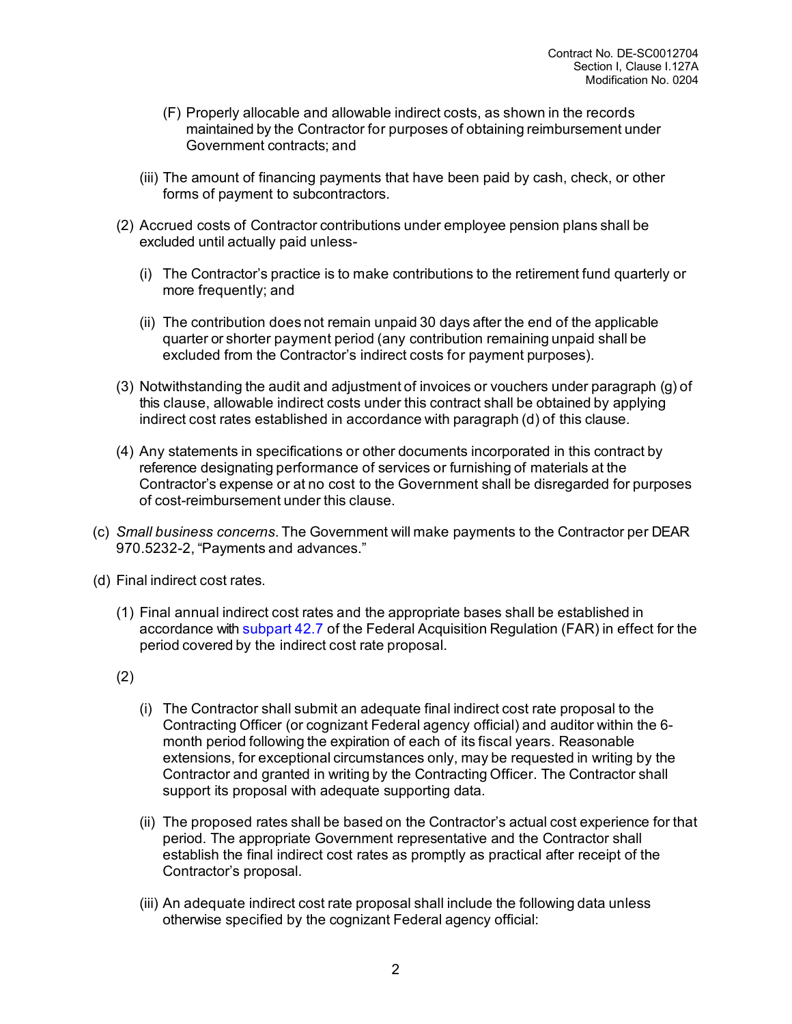- (F) Properly allocable and allowable indirect costs, as shown in the records maintained by the Contractor for purposes of obtaining reimbursement under Government contracts; and
- (iii) The amount of financing payments that have been paid by cash, check, or other forms of payment to subcontractors.
- (2) Accrued costs of Contractor contributions under employee pension plans shall be excluded until actually paid unless-
	- (i) The Contractor's practice is to make contributions to the retirement fund quarterly or more frequently; and
	- (ii) The contribution does not remain unpaid 30 days after the end of the applicable quarter or shorter payment period (any contribution remaining unpaid shall be excluded from the Contractor's indirect costs for payment purposes).
- (3) Notwithstanding the audit and adjustment of invoices or vouchers under paragraph (g) of this clause, allowable indirect costs under this contract shall be obtained by applying indirect cost rates established in accordance with paragraph (d) of this clause.
- (4) Any statements in specifications or other documents incorporated in this contract by reference designating performance of services or furnishing of materials at the Contractor's expense or at no cost to the Government shall be disregarded for purposes of cost-reimbursement under this clause.
- (c) *Small business concerns*. The Government will make payments to the Contractor per DEAR 970.5232-2, "Payments and advances."
- (d) Final indirect cost rates.
	- (1) Final annual indirect cost rates and the appropriate bases shall be established in accordance with [subpart](https://www.acquisition.gov/far/subpart-42.7#FAR_Subpart_42_7) 42.7 of the Federal Acquisition Regulation (FAR) in effect for the period covered by the indirect cost rate proposal.
	- (2)
		- (i) The Contractor shall submit an adequate final indirect cost rate proposal to the Contracting Officer (or cognizant Federal agency official) and auditor within the 6 month period following the expiration of each of its fiscal years. Reasonable extensions, for exceptional circumstances only, may be requested in writing by the Contractor and granted in writing by the Contracting Officer. The Contractor shall support its proposal with adequate supporting data.
		- (ii) The proposed rates shall be based on the Contractor's actual cost experience for that period. The appropriate Government representative and the Contractor shall establish the final indirect cost rates as promptly as practical after receipt of the Contractor's proposal.
		- (iii) An adequate indirect cost rate proposal shall include the following data unless otherwise specified by the cognizant Federal agency official: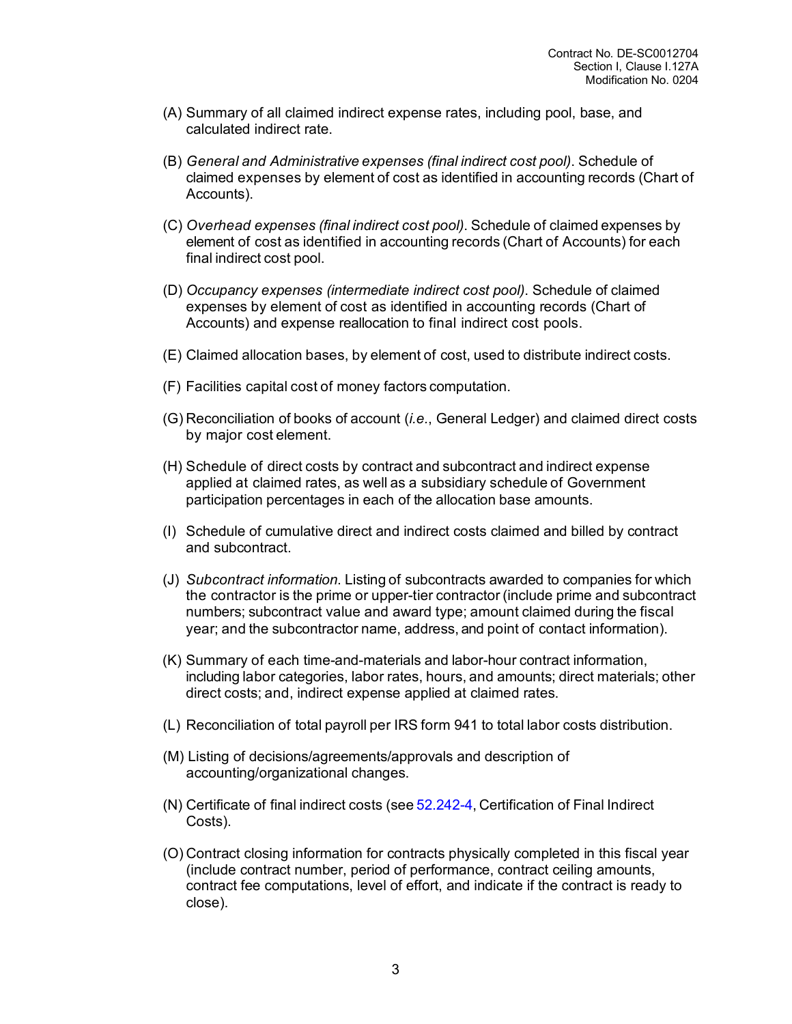- (A) Summary of all claimed indirect expense rates, including pool, base, and calculated indirect rate.
- (B) *General and Administrative expenses (final indirect cost pool)*. Schedule of claimed expenses by element of cost as identified in accounting records (Chart of Accounts).
- (C) *Overhead expenses (final indirect cost pool)*. Schedule of claimed expenses by element of cost as identified in accounting records (Chart of Accounts) for each final indirect cost pool.
- (D) *Occupancy expenses (intermediate indirect cost pool)*. Schedule of claimed expenses by element of cost as identified in accounting records (Chart of Accounts) and expense reallocation to final indirect cost pools.
- (E) Claimed allocation bases, by element of cost, used to distribute indirect costs.
- (F) Facilities capital cost of money factors computation.
- (G) Reconciliation of books of account (*i.e.*, General Ledger) and claimed direct costs by major cost element.
- (H) Schedule of direct costs by contract and subcontract and indirect expense applied at claimed rates, as well as a subsidiary schedule of Government participation percentages in each of the allocation base amounts.
- (I) Schedule of cumulative direct and indirect costs claimed and billed by contract and subcontract.
- (J) *Subcontract information*. Listing of subcontracts awarded to companies for which the contractor is the prime or upper-tier contractor (include prime and subcontract numbers; subcontract value and award type; amount claimed during the fiscal year; and the subcontractor name, address, and point of contact information).
- (K) Summary of each time-and-materials and labor-hour contract information, including labor categories, labor rates, hours, and amounts; direct materials; other direct costs; and, indirect expense applied at claimed rates.
- (L) Reconciliation of total payroll per IRS form 941 to total labor costs distribution.
- (M) Listing of decisions/agreements/approvals and description of accounting/organizational changes.
- (N) Certificate of final indirect costs (see [52.242-4,](https://www.acquisition.gov/far/52.242-4#FAR_52_242_4) Certification of Final Indirect Costs).
- (O) Contract closing information for contracts physically completed in this fiscal year (include contract number, period of performance, contract ceiling amounts, contract fee computations, level of effort, and indicate if the contract is ready to close).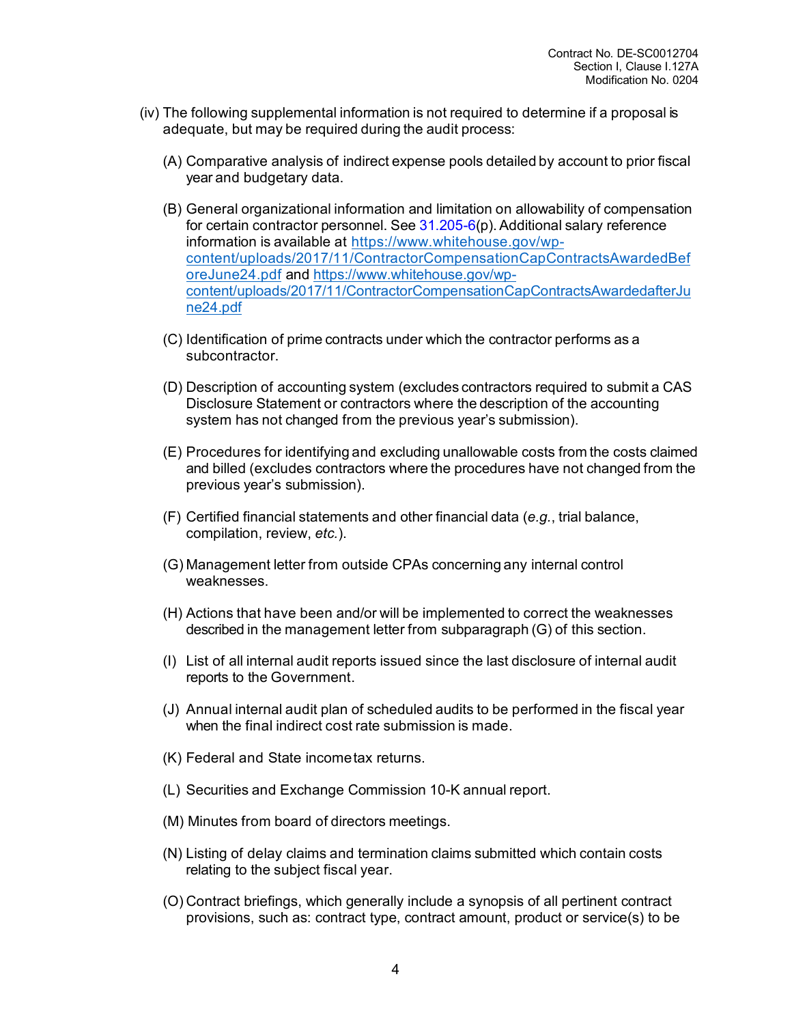- (iv) The following supplemental information is not required to determine if a proposal is adequate, but may be required during the audit process:
	- (A) Comparative analysis of indirect expense pools detailed by account to prior fiscal year and budgetary data.
	- (B) General organizational information and limitation on allowability of compensation for certain contractor personnel. See  $31.205-6(p)$  $31.205-6(p)$ . Additional salary reference information is available at [https://www.whitehouse.gov/wp](https://www.whitehouse.gov/wp-content/uploads/2017/11/ContractorCompensationCapContractsAwardedBeforeJune24.pdf)[content/uploads/2017/11/ContractorCompensationCapContractsAwardedBef](https://www.whitehouse.gov/wp-content/uploads/2017/11/ContractorCompensationCapContractsAwardedBeforeJune24.pdf) [oreJune24.pdf](https://www.whitehouse.gov/wp-content/uploads/2017/11/ContractorCompensationCapContractsAwardedBeforeJune24.pdf) and [https://www.whitehouse.gov/wp](https://www.whitehouse.gov/wp-content/uploads/2017/11/ContractorCompensationCapContractsAwardedafterJune24.pdf)[content/uploads/2017/11/ContractorCompensationCapContractsAwardedafterJu](https://www.whitehouse.gov/wp-content/uploads/2017/11/ContractorCompensationCapContractsAwardedafterJune24.pdf) [ne24.pdf](https://www.whitehouse.gov/wp-content/uploads/2017/11/ContractorCompensationCapContractsAwardedafterJune24.pdf)
	- (C) Identification of prime contracts under which the contractor performs as a subcontractor.
	- (D) Description of accounting system (excludes contractors required to submit a CAS Disclosure Statement or contractors where the description of the accounting system has not changed from the previous year's submission).
	- (E) Procedures for identifying and excluding unallowable costs from the costs claimed and billed (excludes contractors where the procedures have not changed from the previous year's submission).
	- (F) Certified financial statements and other financial data (*e.g.*, trial balance, compilation, review, *etc.*).
	- (G) Management letter from outside CPAs concerning any internal control weaknesses.
	- (H) Actions that have been and/or will be implemented to correct the weaknesses described in the management letter from subparagraph (G) of this section.
	- (I) List of all internal audit reports issued since the last disclosure of internal audit reports to the Government.
	- (J) Annual internal audit plan of scheduled audits to be performed in the fiscal year when the final indirect cost rate submission is made.
	- (K) Federal and State incometax returns.
	- (L) Securities and Exchange Commission 10-K annual report.
	- (M) Minutes from board of directors meetings.
	- (N) Listing of delay claims and termination claims submitted which contain costs relating to the subject fiscal year.
	- (O) Contract briefings, which generally include a synopsis of all pertinent contract provisions, such as: contract type, contract amount, product or service(s) to be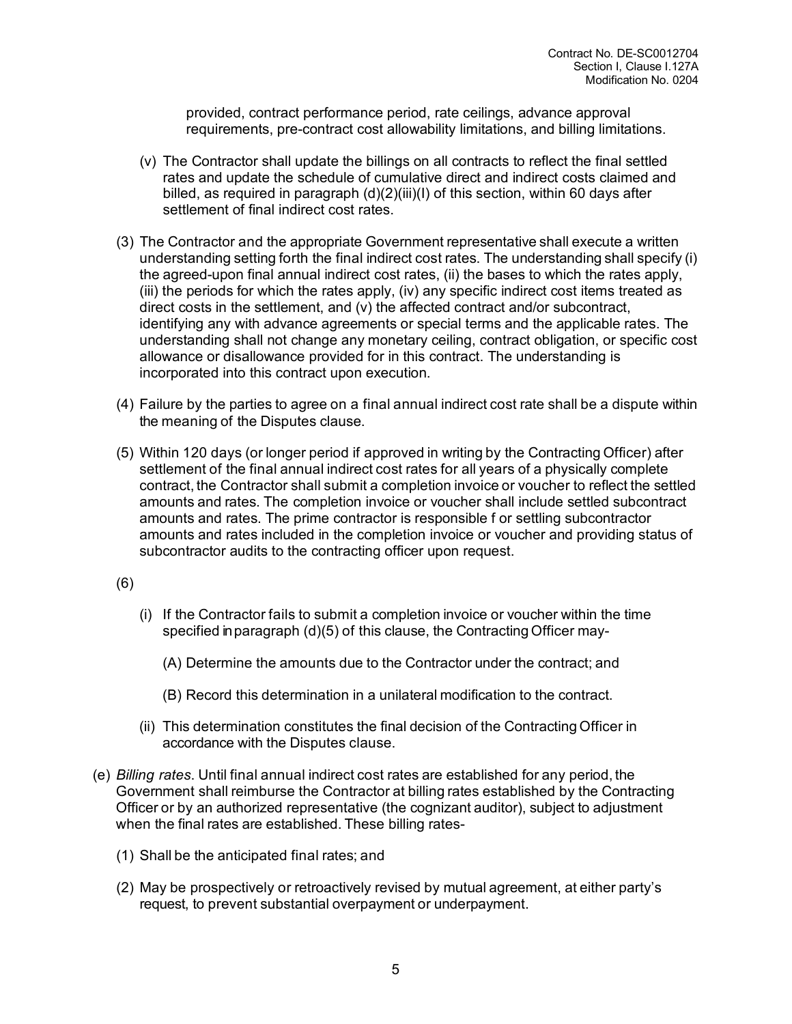provided, contract performance period, rate ceilings, advance approval requirements, pre-contract cost allowability limitations, and billing limitations.

- (v) The Contractor shall update the billings on all contracts to reflect the final settled rates and update the schedule of cumulative direct and indirect costs claimed and billed, as required in paragraph  $(d)(2)(iii)(l)$  of this section, within 60 days after settlement of final indirect cost rates.
- (3) The Contractor and the appropriate Government representative shall execute a written understanding setting forth the final indirect cost rates. The understanding shall specify (i) the agreed-upon final annual indirect cost rates, (ii) the bases to which the rates apply, (iii) the periods for which the rates apply, (iv) any specific indirect cost items treated as direct costs in the settlement, and (v) the affected contract and/or subcontract, identifying any with advance agreements or special terms and the applicable rates. The understanding shall not change any monetary ceiling, contract obligation, or specific cost allowance or disallowance provided for in this contract. The understanding is incorporated into this contract upon execution.
- (4) Failure by the parties to agree on a final annual indirect cost rate shall be a dispute within the meaning of the Disputes clause.
- (5) Within 120 days (or longer period if approved in writing by the Contracting Officer) after settlement of the final annual indirect cost rates for all years of a physically complete contract, the Contractor shall submit a completion invoice or voucher to reflect the settled amounts and rates. The completion invoice or voucher shall include settled subcontract amounts and rates. The prime contractor is responsible f or settling subcontractor amounts and rates included in the completion invoice or voucher and providing status of subcontractor audits to the contracting officer upon request.

#### (6)

- (i) If the Contractor fails to submit a completion invoice or voucher within the time specified in paragraph (d)(5) of this clause, the Contracting Officer may-
	- (A) Determine the amounts due to the Contractor under the contract; and
	- (B) Record this determination in a unilateral modification to the contract.
- (ii) This determination constitutes the final decision of the Contracting Officer in accordance with the Disputes clause.
- (e) *Billing rates*. Until final annual indirect cost rates are established for any period, the Government shall reimburse the Contractor at billing rates established by the Contracting Officer or by an authorized representative (the cognizant auditor), subject to adjustment when the final rates are established. These billing rates-
	- (1) Shall be the anticipated final rates; and
	- (2) May be prospectively or retroactively revised by mutual agreement, at either party's request, to prevent substantial overpayment or underpayment.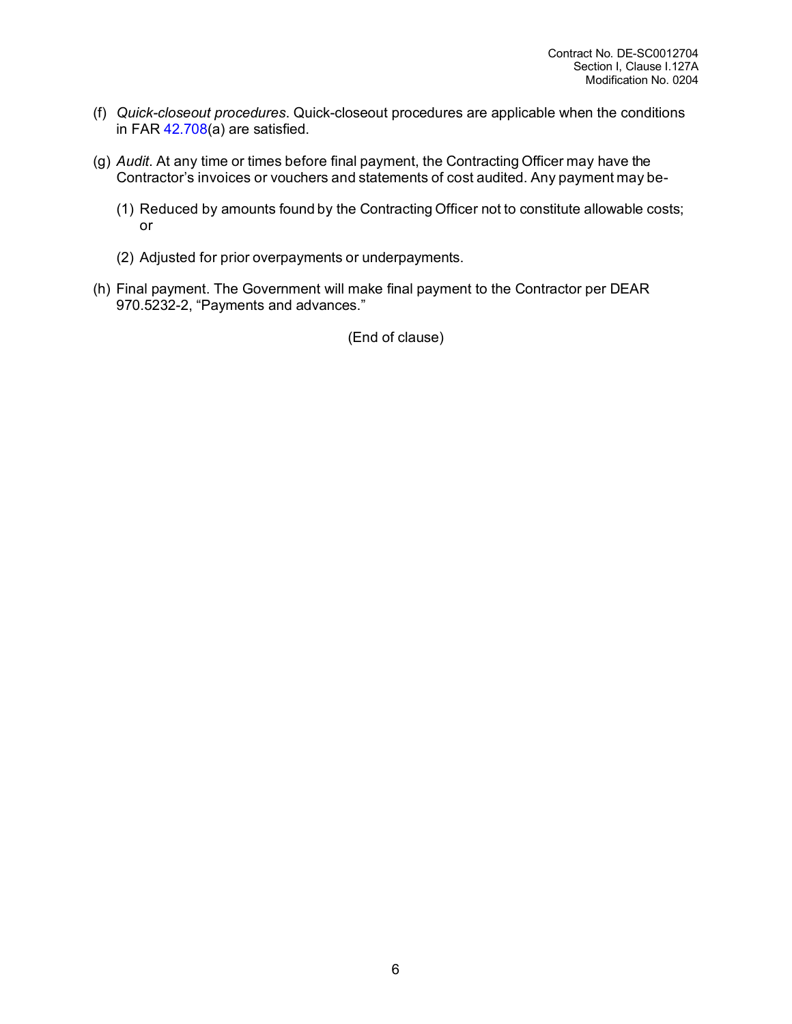- (f) *Quick-closeout procedures*. Quick-closeout procedures are applicable when the conditions in FAR [42.708\(](https://www.acquisition.gov/far/42.708#FAR_42_708)a) are satisfied.
- (g) *Audit*. At any time or times before final payment, the Contracting Officer may have the Contractor's invoices or vouchers and statements of cost audited. Any payment may be-
	- (1) Reduced by amounts found by the Contracting Officer not to constitute allowable costs; or
	- (2) Adjusted for prior overpayments or underpayments.
- (h) Final payment. The Government will make final payment to the Contractor per DEAR 970.5232-2, "Payments and advances."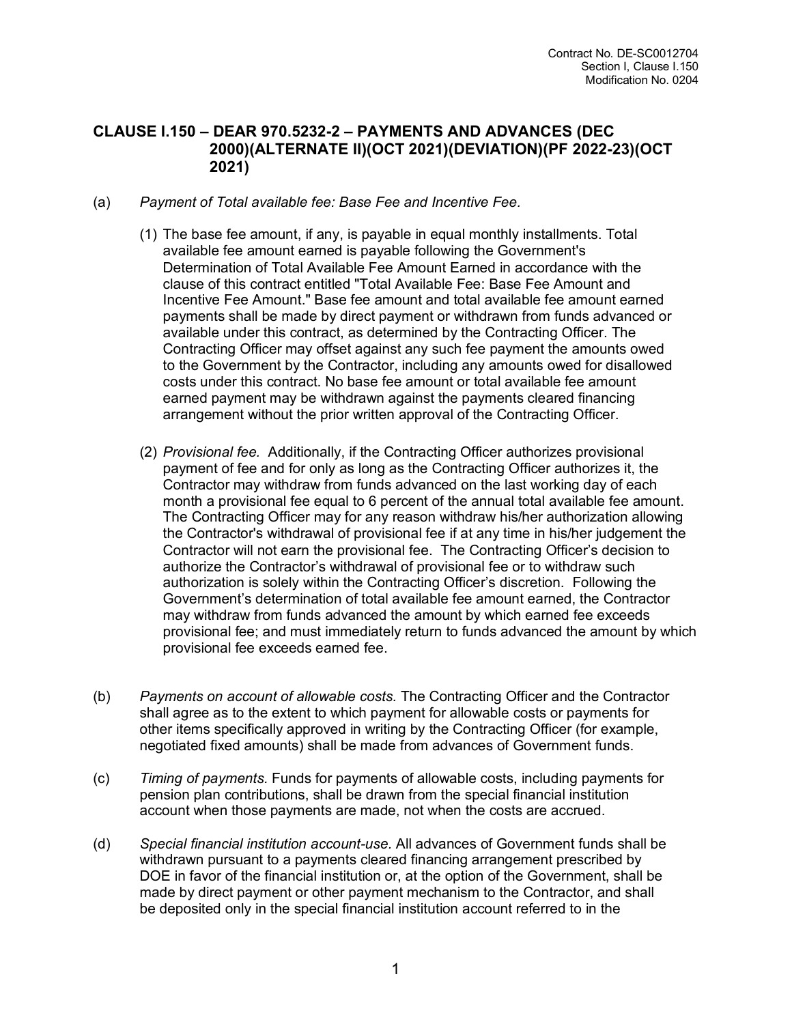#### **CLAUSE I.150 – DEAR 970.5232-2 – PAYMENTS AND ADVANCES (DEC 2000)(ALTERNATE II)(OCT 2021)(DEVIATION)(PF 2022-23)(OCT 2021)**

- (a) *Payment of Total available fee: Base Fee and Incentive Fee.* 
	- (1) The base fee amount, if any, is payable in equal monthly installments. Total available fee amount earned is payable following the Government's Determination of Total Available Fee Amount Earned in accordance with the clause of this contract entitled "Total Available Fee: Base Fee Amount and Incentive Fee Amount." Base fee amount and total available fee amount earned payments shall be made by direct payment or withdrawn from funds advanced or available under this contract, as determined by the Contracting Officer. The Contracting Officer may offset against any such fee payment the amounts owed to the Government by the Contractor, including any amounts owed for disallowed costs under this contract. No base fee amount or total available fee amount earned payment may be withdrawn against the payments cleared financing arrangement without the prior written approval of the Contracting Officer.
	- (2) *Provisional fee.* Additionally, if the Contracting Officer authorizes provisional payment of fee and for only as long as the Contracting Officer authorizes it, the Contractor may withdraw from funds advanced on the last working day of each month a provisional fee equal to 6 percent of the annual total available fee amount. The Contracting Officer may for any reason withdraw his/her authorization allowing the Contractor's withdrawal of provisional fee if at any time in his/her judgement the Contractor will not earn the provisional fee. The Contracting Officer's decision to authorize the Contractor's withdrawal of provisional fee or to withdraw such authorization is solely within the Contracting Officer's discretion. Following the Government's determination of total available fee amount earned, the Contractor may withdraw from funds advanced the amount by which earned fee exceeds provisional fee; and must immediately return to funds advanced the amount by which provisional fee exceeds earned fee.
- (b) *Payments on account of allowable costs.* The Contracting Officer and the Contractor shall agree as to the extent to which payment for allowable costs or payments for other items specifically approved in writing by the Contracting Officer (for example, negotiated fixed amounts) shall be made from advances of Government funds.
- (c) *Timing of payments.* Funds for payments of allowable costs, including payments for pension plan contributions, shall be drawn from the special financial institution account when those payments are made, not when the costs are accrued.
- (d) *Special financial institution account-use.* All advances of Government funds shall be withdrawn pursuant to a payments cleared financing arrangement prescribed by DOE in favor of the financial institution or, at the option of the Government, shall be made by direct payment or other payment mechanism to the Contractor, and shall be deposited only in the special financial institution account referred to in the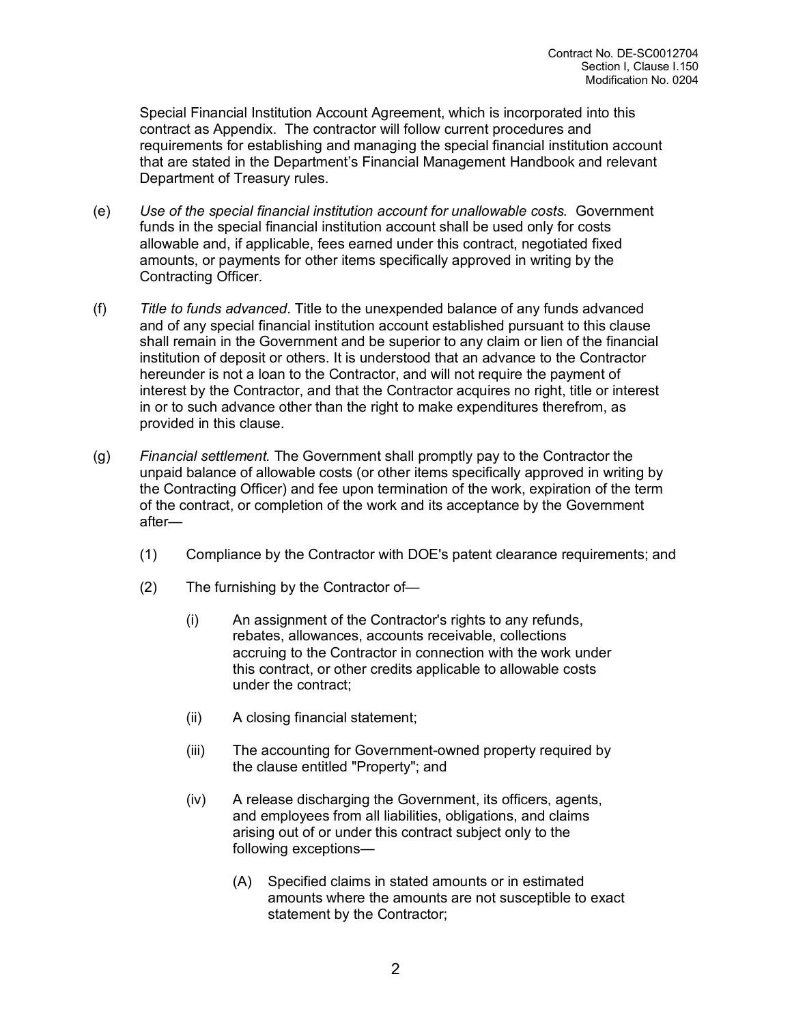Special Financial Institution Account Agreement, which is incorporated into this contract as Appendix. The contractor will follow current procedures and requirements for establishing and managing the special financial institution account that are stated in the Department's Financial Management Handbook and relevant Department of Treasury rules.

- (e) *Use of the special financial institution account for unallowable costs.* Government funds in the special financial institution account shall be used only for costs allowable and, if applicable, fees earned under this contract, negotiated fixed amounts, or payments for other items specifically approved in writing by the Contracting Officer.
- (f) *Title to funds advanced*. Title to the unexpended balance of any funds advanced and of any special financial institution account established pursuant to this clause shall remain in the Government and be superior to any claim or lien of the financial institution of deposit or others. It is understood that an advance to the Contractor hereunder is not a loan to the Contractor, and will not require the payment of interest by the Contractor, and that the Contractor acquires no right, title or interest in or to such advance other than the right to make expenditures therefrom, as provided in this clause.
- (g) *Financial settlement.* The Government shall promptly pay to the Contractor the unpaid balance of allowable costs (or other items specifically approved in writing by the Contracting Officer) and fee upon termination of the work, expiration of the term of the contract, or completion of the work and its acceptance by the Government after—
	- (1) Compliance by the Contractor with DOE's patent clearance requirements; and
	- (2) The furnishing by the Contractor of—
		- (i) An assignment of the Contractor's rights to any refunds, rebates, allowances, accounts receivable, collections accruing to the Contractor in connection with the work under this contract, or other credits applicable to allowable costs under the contract;
		- (ii) A closing financial statement;
		- (iii) The accounting for Government-owned property required by the clause entitled "Property"; and
		- (iv) A release discharging the Government, its officers, agents, and employees from all liabilities, obligations, and claims arising out of or under this contract subject only to the following exceptions—
			- (A) Specified claims in stated amounts or in estimated amounts where the amounts are not susceptible to exact statement by the Contractor;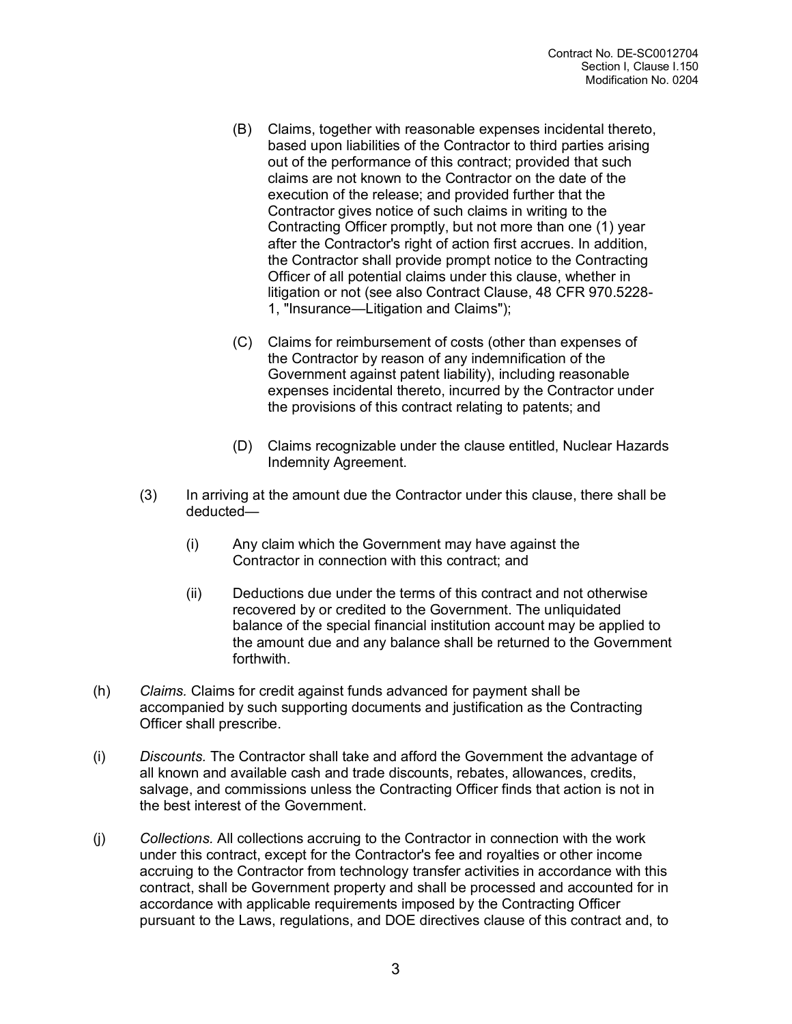- (B) Claims, together with reasonable expenses incidental thereto, based upon liabilities of the Contractor to third parties arising out of the performance of this contract; provided that such claims are not known to the Contractor on the date of the execution of the release; and provided further that the Contractor gives notice of such claims in writing to the Contracting Officer promptly, but not more than one (1) year after the Contractor's right of action first accrues. In addition, the Contractor shall provide prompt notice to the Contracting Officer of all potential claims under this clause, whether in litigation or not (see also Contract Clause, 48 CFR 970.5228- 1, "Insurance—Litigation and Claims");
- (C) Claims for reimbursement of costs (other than expenses of the Contractor by reason of any indemnification of the Government against patent liability), including reasonable expenses incidental thereto, incurred by the Contractor under the provisions of this contract relating to patents; and
- (D) Claims recognizable under the clause entitled, Nuclear Hazards Indemnity Agreement.
- (3) In arriving at the amount due the Contractor under this clause, there shall be deducted—
	- (i) Any claim which the Government may have against the Contractor in connection with this contract; and
	- (ii) Deductions due under the terms of this contract and not otherwise recovered by or credited to the Government. The unliquidated balance of the special financial institution account may be applied to the amount due and any balance shall be returned to the Government forthwith.
- (h) *Claims.* Claims for credit against funds advanced for payment shall be accompanied by such supporting documents and justification as the Contracting Officer shall prescribe.
- (i) *Discounts.* The Contractor shall take and afford the Government the advantage of all known and available cash and trade discounts, rebates, allowances, credits, salvage, and commissions unless the Contracting Officer finds that action is not in the best interest of the Government.
- (j) *Collections.* All collections accruing to the Contractor in connection with the work under this contract, except for the Contractor's fee and royalties or other income accruing to the Contractor from technology transfer activities in accordance with this contract, shall be Government property and shall be processed and accounted for in accordance with applicable requirements imposed by the Contracting Officer pursuant to the Laws, regulations, and DOE directives clause of this contract and, to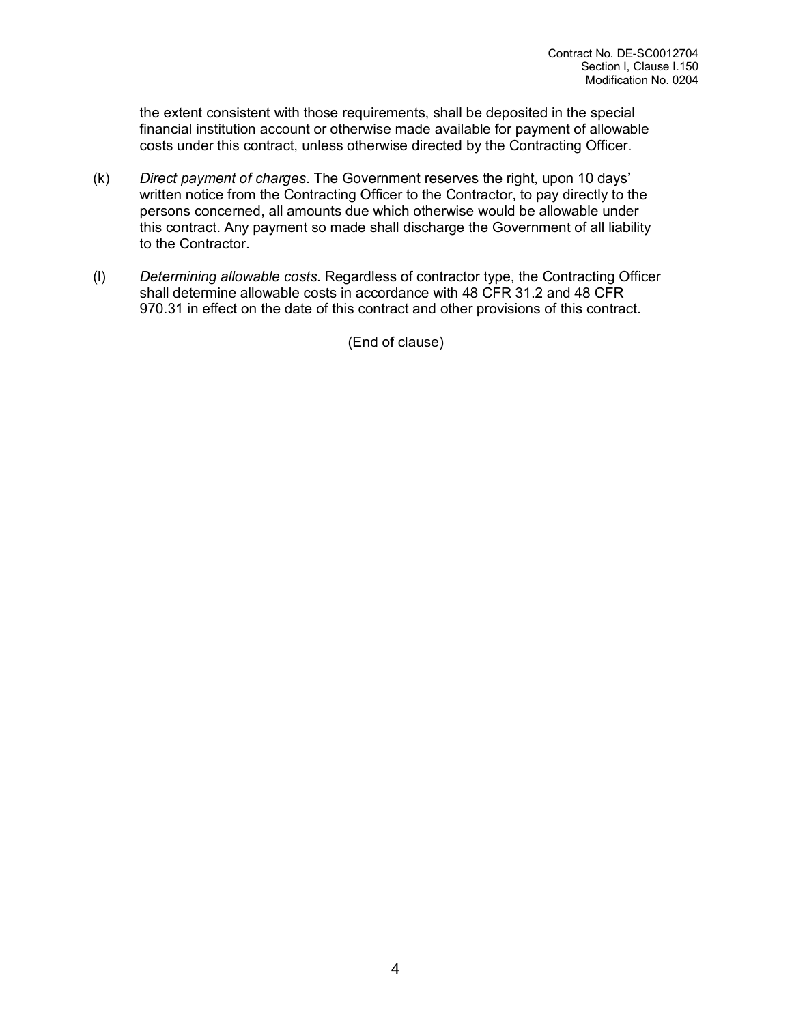the extent consistent with those requirements, shall be deposited in the special financial institution account or otherwise made available for payment of allowable costs under this contract, unless otherwise directed by the Contracting Officer.

- (k) *Direct payment of charges*. The Government reserves the right, upon 10 days' written notice from the Contracting Officer to the Contractor, to pay directly to the persons concerned, all amounts due which otherwise would be allowable under this contract. Any payment so made shall discharge the Government of all liability to the Contractor.
- (l) *Determining allowable costs*. Regardless of contractor type, the Contracting Officer shall determine allowable costs in accordance with 48 CFR 31.2 and 48 CFR 970.31 in effect on the date of this contract and other provisions of this contract.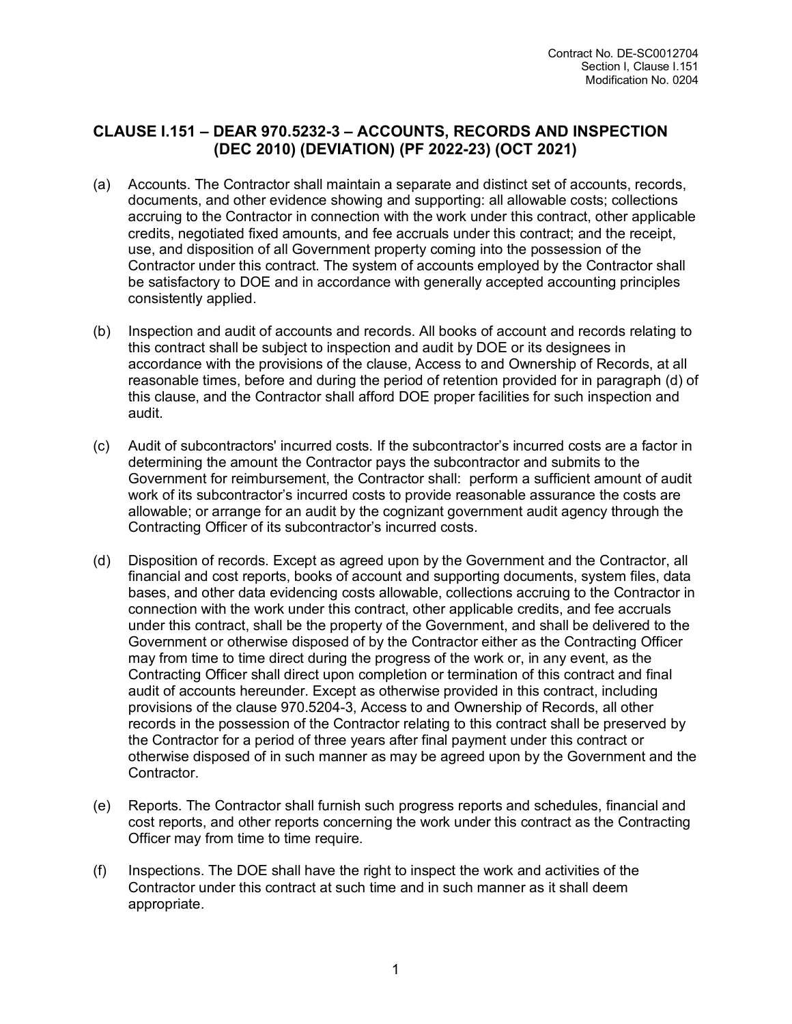### **CLAUSE I.151 – DEAR 970.5232-3 – ACCOUNTS, RECORDS AND INSPECTION (DEC 2010) (DEVIATION) (PF 2022-23) (OCT 2021)**

- (a) Accounts. The Contractor shall maintain a separate and distinct set of accounts, records, documents, and other evidence showing and supporting: all allowable costs; collections accruing to the Contractor in connection with the work under this contract, other applicable credits, negotiated fixed amounts, and fee accruals under this contract; and the receipt, use, and disposition of all Government property coming into the possession of the Contractor under this contract. The system of accounts employed by the Contractor shall be satisfactory to DOE and in accordance with generally accepted accounting principles consistently applied.
- (b) Inspection and audit of accounts and records. All books of account and records relating to this contract shall be subject to inspection and audit by DOE or its designees in accordance with the provisions of the clause, Access to and Ownership of Records, at all reasonable times, before and during the period of retention provided for in paragraph (d) of this clause, and the Contractor shall afford DOE proper facilities for such inspection and audit.
- (c) Audit of subcontractors' incurred costs. If the subcontractor's incurred costs are a factor in determining the amount the Contractor pays the subcontractor and submits to the Government for reimbursement, the Contractor shall: perform a sufficient amount of audit work of its subcontractor's incurred costs to provide reasonable assurance the costs are allowable; or arrange for an audit by the cognizant government audit agency through the Contracting Officer of its subcontractor's incurred costs.
- (d) Disposition of records. Except as agreed upon by the Government and the Contractor, all financial and cost reports, books of account and supporting documents, system files, data bases, and other data evidencing costs allowable, collections accruing to the Contractor in connection with the work under this contract, other applicable credits, and fee accruals under this contract, shall be the property of the Government, and shall be delivered to the Government or otherwise disposed of by the Contractor either as the Contracting Officer may from time to time direct during the progress of the work or, in any event, as the Contracting Officer shall direct upon completion or termination of this contract and final audit of accounts hereunder. Except as otherwise provided in this contract, including provisions of the clause 970.5204-3, Access to and Ownership of Records, all other records in the possession of the Contractor relating to this contract shall be preserved by the Contractor for a period of three years after final payment under this contract or otherwise disposed of in such manner as may be agreed upon by the Government and the Contractor.
- (e) Reports. The Contractor shall furnish such progress reports and schedules, financial and cost reports, and other reports concerning the work under this contract as the Contracting Officer may from time to time require.
- (f) Inspections. The DOE shall have the right to inspect the work and activities of the Contractor under this contract at such time and in such manner as it shall deem appropriate.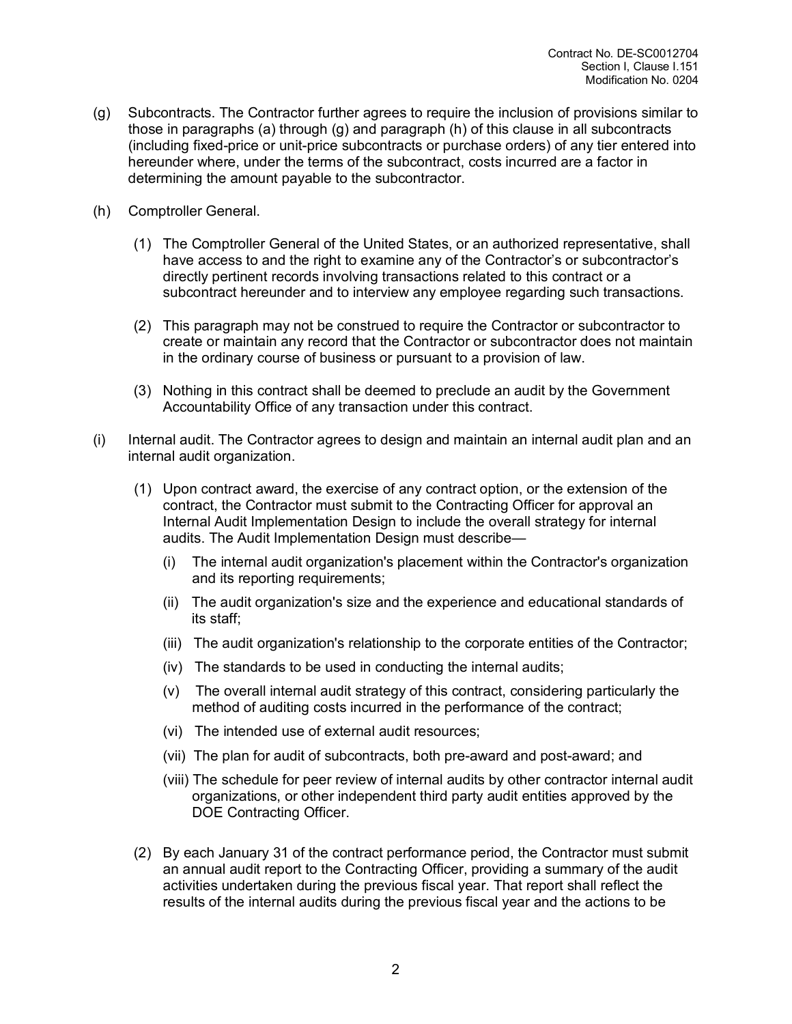- (g) Subcontracts. The Contractor further agrees to require the inclusion of provisions similar to those in paragraphs (a) through (g) and paragraph (h) of this clause in all subcontracts (including fixed-price or unit-price subcontracts or purchase orders) of any tier entered into hereunder where, under the terms of the subcontract, costs incurred are a factor in determining the amount payable to the subcontractor.
- (h) Comptroller General.
	- (1) The Comptroller General of the United States, or an authorized representative, shall have access to and the right to examine any of the Contractor's or subcontractor's directly pertinent records involving transactions related to this contract or a subcontract hereunder and to interview any employee regarding such transactions.
	- (2) This paragraph may not be construed to require the Contractor or subcontractor to create or maintain any record that the Contractor or subcontractor does not maintain in the ordinary course of business or pursuant to a provision of law.
	- (3) Nothing in this contract shall be deemed to preclude an audit by the Government Accountability Office of any transaction under this contract.
- (i) Internal audit. The Contractor agrees to design and maintain an internal audit plan and an internal audit organization.
	- (1) Upon contract award, the exercise of any contract option, or the extension of the contract, the Contractor must submit to the Contracting Officer for approval an Internal Audit Implementation Design to include the overall strategy for internal audits. The Audit Implementation Design must describe—
		- (i) The internal audit organization's placement within the Contractor's organization and its reporting requirements;
		- (ii) The audit organization's size and the experience and educational standards of its staff;
		- (iii) The audit organization's relationship to the corporate entities of the Contractor;
		- (iv) The standards to be used in conducting the internal audits;
		- (v) The overall internal audit strategy of this contract, considering particularly the method of auditing costs incurred in the performance of the contract;
		- (vi) The intended use of external audit resources;
		- (vii) The plan for audit of subcontracts, both pre-award and post-award; and
		- (viii) The schedule for peer review of internal audits by other contractor internal audit organizations, or other independent third party audit entities approved by the DOE Contracting Officer.
	- (2) By each January 31 of the contract performance period, the Contractor must submit an annual audit report to the Contracting Officer, providing a summary of the audit activities undertaken during the previous fiscal year. That report shall reflect the results of the internal audits during the previous fiscal year and the actions to be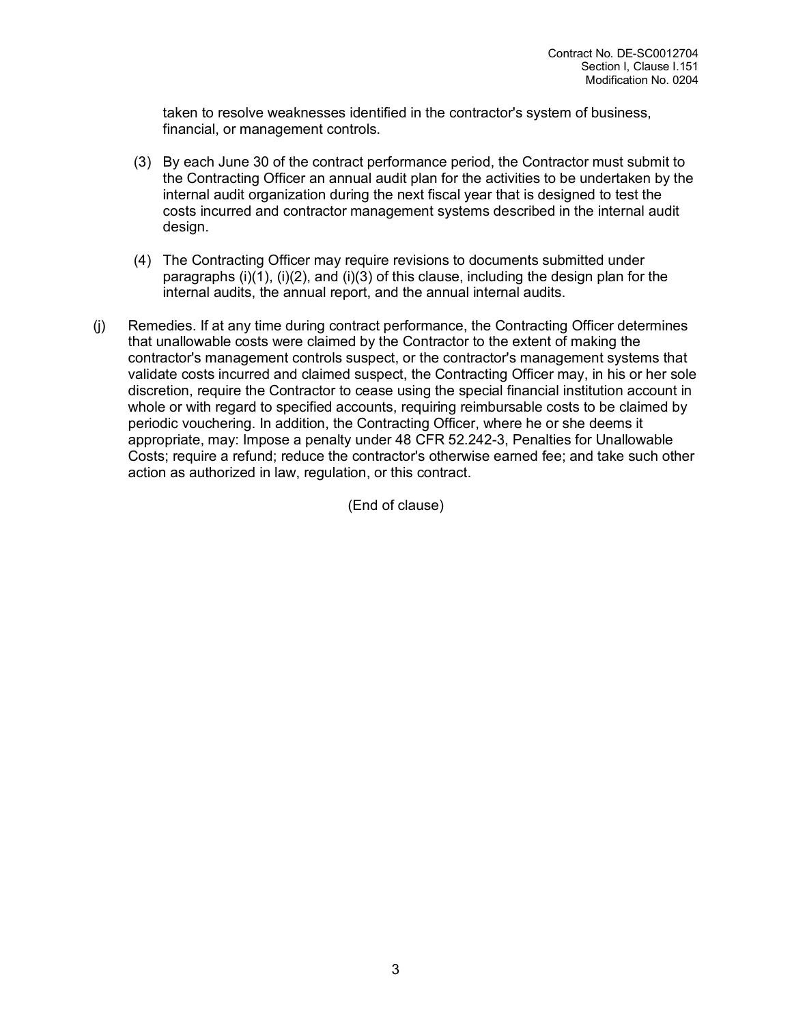taken to resolve weaknesses identified in the contractor's system of business, financial, or management controls.

- (3) By each June 30 of the contract performance period, the Contractor must submit to the Contracting Officer an annual audit plan for the activities to be undertaken by the internal audit organization during the next fiscal year that is designed to test the costs incurred and contractor management systems described in the internal audit design.
- (4) The Contracting Officer may require revisions to documents submitted under paragraphs  $(i)(1)$ ,  $(i)(2)$ , and  $(i)(3)$  of this clause, including the design plan for the internal audits, the annual report, and the annual internal audits.
- (j) Remedies. If at any time during contract performance, the Contracting Officer determines that unallowable costs were claimed by the Contractor to the extent of making the contractor's management controls suspect, or the contractor's management systems that validate costs incurred and claimed suspect, the Contracting Officer may, in his or her sole discretion, require the Contractor to cease using the special financial institution account in whole or with regard to specified accounts, requiring reimbursable costs to be claimed by periodic vouchering. In addition, the Contracting Officer, where he or she deems it appropriate, may: Impose a penalty under 48 CFR 52.242-3, Penalties for Unallowable Costs; require a refund; reduce the contractor's otherwise earned fee; and take such other action as authorized in law, regulation, or this contract.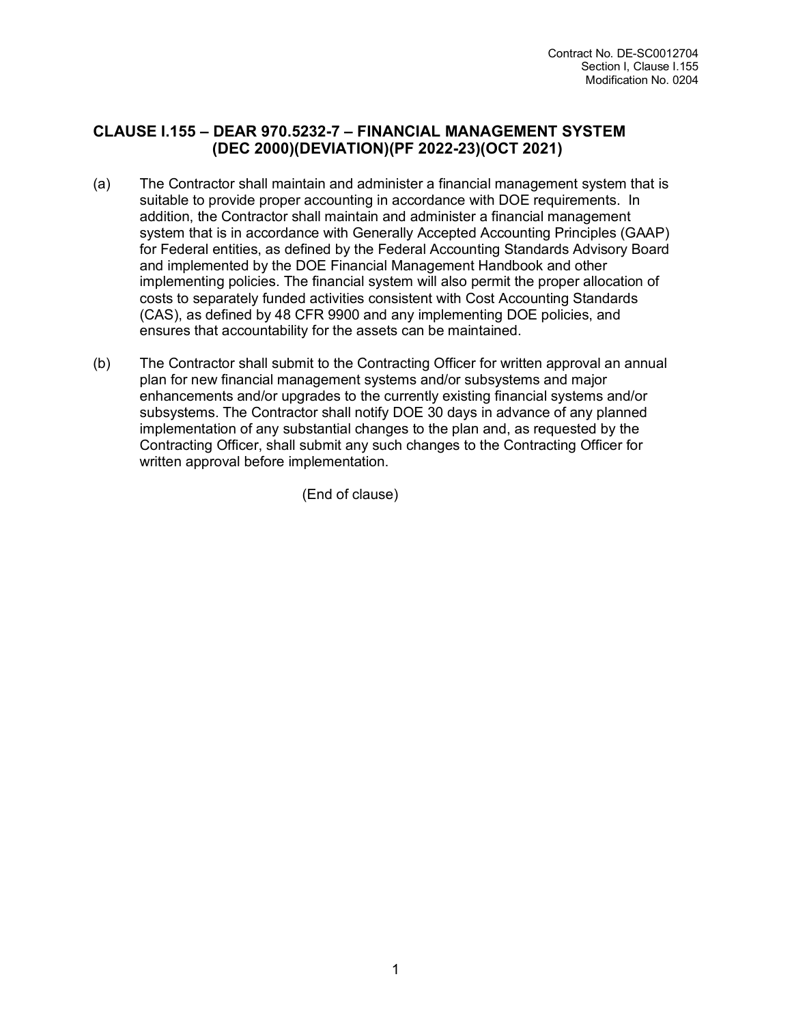#### **CLAUSE I.155 – DEAR 970.5232-7 – FINANCIAL MANAGEMENT SYSTEM (DEC 2000)(DEVIATION)(PF 2022-23)(OCT 2021)**

- (a) The Contractor shall maintain and administer a financial management system that is suitable to provide proper accounting in accordance with DOE requirements. In addition, the Contractor shall maintain and administer a financial management system that is in accordance with Generally Accepted Accounting Principles (GAAP) for Federal entities, as defined by the Federal Accounting Standards Advisory Board and implemented by the DOE Financial Management Handbook and other implementing policies. The financial system will also permit the proper allocation of costs to separately funded activities consistent with Cost Accounting Standards (CAS), as defined by 48 CFR 9900 and any implementing DOE policies, and ensures that accountability for the assets can be maintained.
- (b) The Contractor shall submit to the Contracting Officer for written approval an annual plan for new financial management systems and/or subsystems and major enhancements and/or upgrades to the currently existing financial systems and/or subsystems. The Contractor shall notify DOE 30 days in advance of any planned implementation of any substantial changes to the plan and, as requested by the Contracting Officer, shall submit any such changes to the Contracting Officer for written approval before implementation.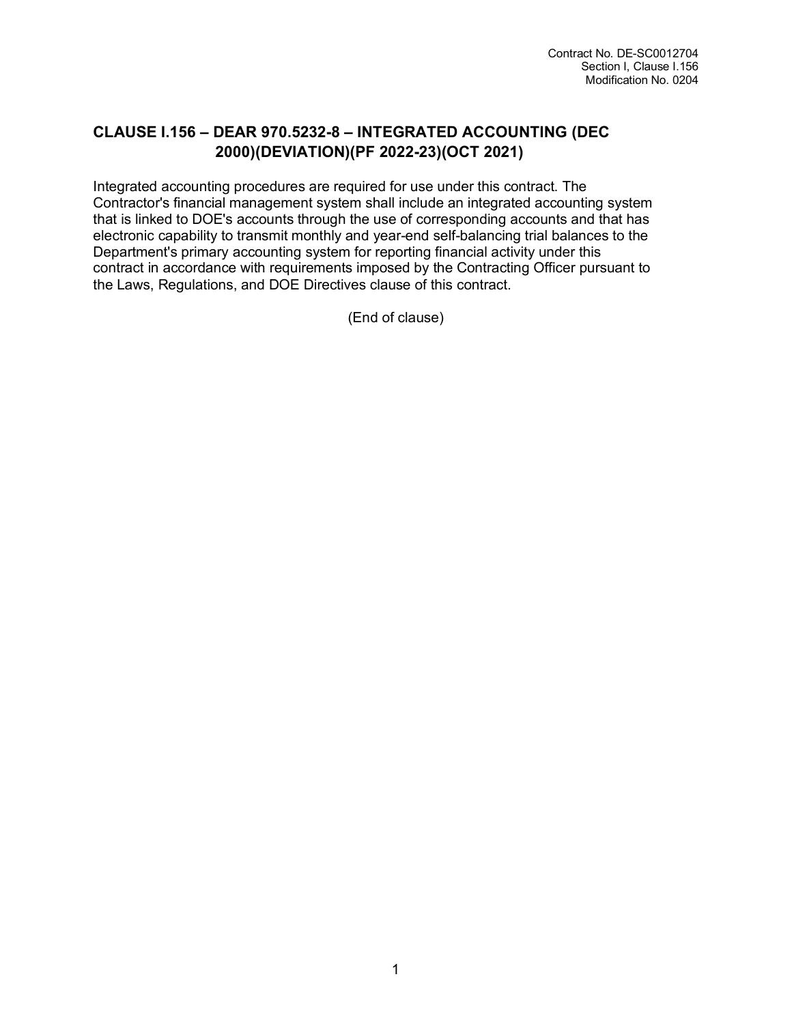# **CLAUSE I.156 – DEAR 970.5232-8 – INTEGRATED ACCOUNTING (DEC 2000)(DEVIATION)(PF 2022-23)(OCT 2021)**

Integrated accounting procedures are required for use under this contract. The Contractor's financial management system shall include an integrated accounting system that is linked to DOE's accounts through the use of corresponding accounts and that has electronic capability to transmit monthly and year-end self-balancing trial balances to the Department's primary accounting system for reporting financial activity under this contract in accordance with requirements imposed by the Contracting Officer pursuant to the Laws, Regulations, and DOE Directives clause of this contract.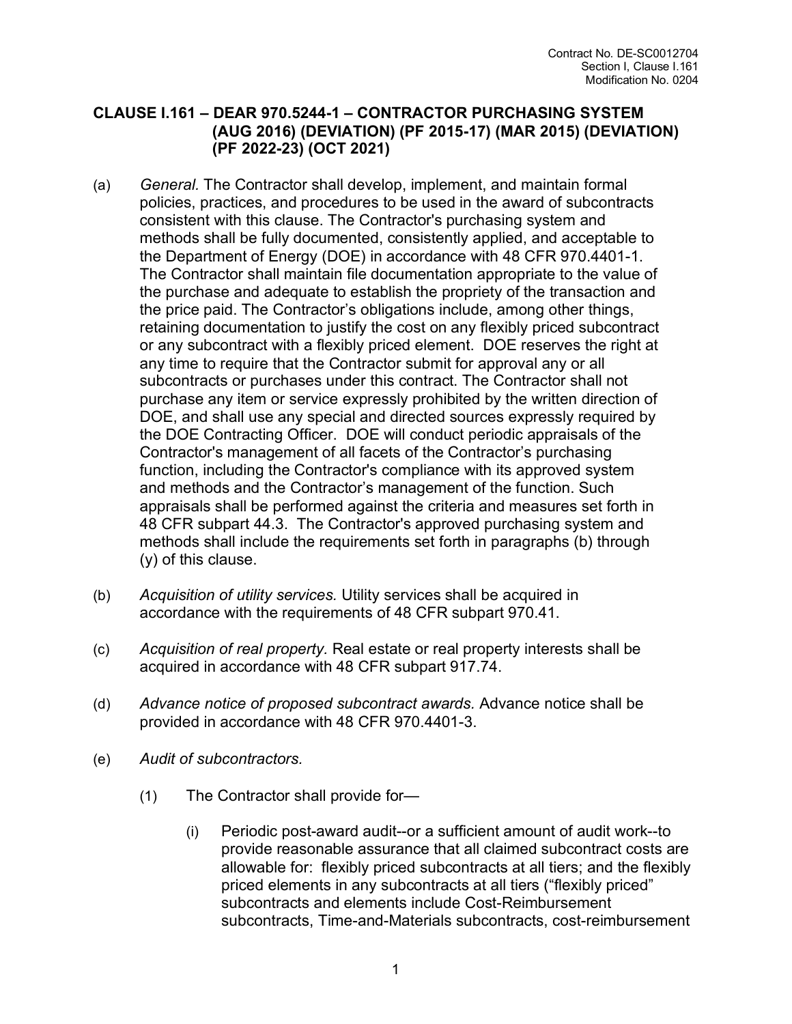#### **CLAUSE I.161 – DEAR 970.5244-1 – CONTRACTOR PURCHASING SYSTEM (AUG 2016) (DEVIATION) (PF 2015-17) (MAR 2015) (DEVIATION) (PF 2022-23) (OCT 2021)**

- (a) *General.* The Contractor shall develop, implement, and maintain formal policies, practices, and procedures to be used in the award of subcontracts consistent with this clause. The Contractor's purchasing system and methods shall be fully documented, consistently applied, and acceptable to the Department of Energy (DOE) in accordance with 48 CFR 970.4401-1. The Contractor shall maintain file documentation appropriate to the value of the purchase and adequate to establish the propriety of the transaction and the price paid. The Contractor's obligations include, among other things, retaining documentation to justify the cost on any flexibly priced subcontract or any subcontract with a flexibly priced element. DOE reserves the right at any time to require that the Contractor submit for approval any or all subcontracts or purchases under this contract. The Contractor shall not purchase any item or service expressly prohibited by the written direction of DOE, and shall use any special and directed sources expressly required by the DOE Contracting Officer. DOE will conduct periodic appraisals of the Contractor's management of all facets of the Contractor's purchasing function, including the Contractor's compliance with its approved system and methods and the Contractor's management of the function. Such appraisals shall be performed against the criteria and measures set forth in 48 CFR subpart 44.3. The Contractor's approved purchasing system and methods shall include the requirements set forth in paragraphs (b) through (y) of this clause.
- (b) *Acquisition of utility services.* Utility services shall be acquired in accordance with the requirements of 48 CFR subpart 970.41.
- (c) *Acquisition of real property.* Real estate or real property interests shall be acquired in accordance with 48 CFR subpart 917.74.
- (d) *Advance notice of proposed subcontract awards.* Advance notice shall be provided in accordance with 48 CFR 970.4401-3.
- (e) *Audit of subcontractors.* 
	- (1) The Contractor shall provide for—
		- (i) Periodic post-award audit--or a sufficient amount of audit work--to provide reasonable assurance that all claimed subcontract costs are allowable for: flexibly priced subcontracts at all tiers; and the flexibly priced elements in any subcontracts at all tiers ("flexibly priced" subcontracts and elements include Cost-Reimbursement subcontracts, Time-and-Materials subcontracts, cost-reimbursement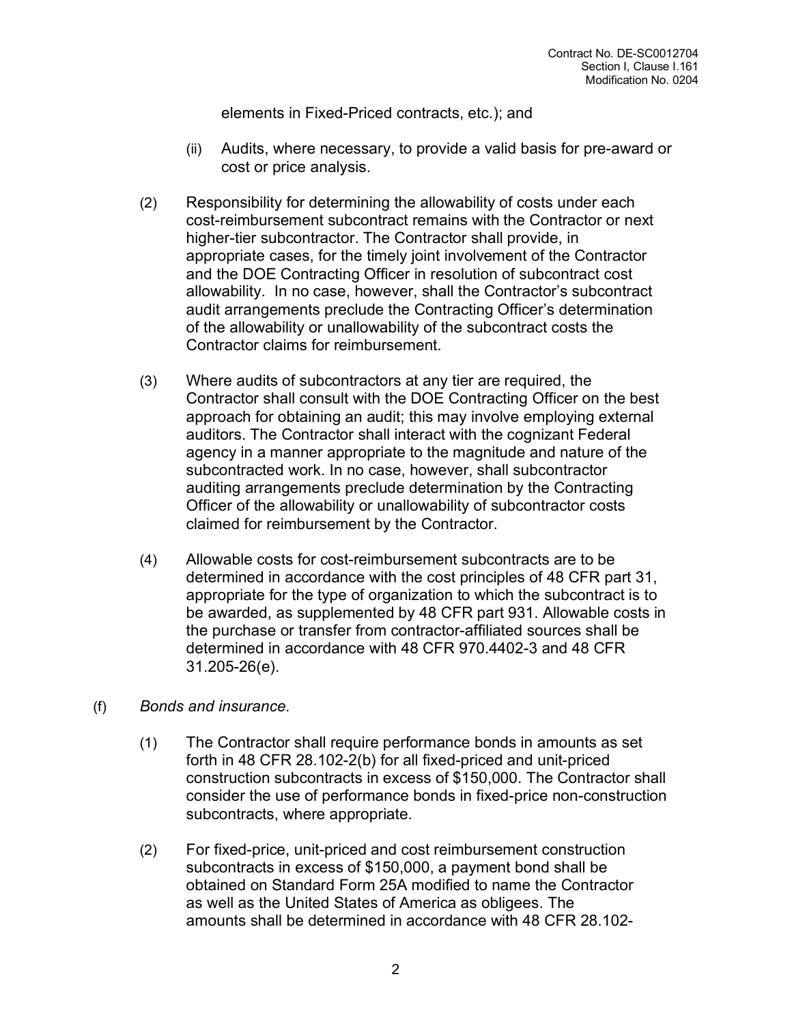elements in Fixed-Priced contracts, etc.); and

- (ii) Audits, where necessary, to provide a valid basis for pre-award or cost or price analysis.
- (2) Responsibility for determining the allowability of costs under each cost-reimbursement subcontract remains with the Contractor or next higher-tier subcontractor. The Contractor shall provide, in appropriate cases, for the timely joint involvement of the Contractor and the DOE Contracting Officer in resolution of subcontract cost allowability. In no case, however, shall the Contractor's subcontract audit arrangements preclude the Contracting Officer's determination of the allowability or unallowability of the subcontract costs the Contractor claims for reimbursement.
- (3) Where audits of subcontractors at any tier are required, the Contractor shall consult with the DOE Contracting Officer on the best approach for obtaining an audit; this may involve employing external auditors. The Contractor shall interact with the cognizant Federal agency in a manner appropriate to the magnitude and nature of the subcontracted work. In no case, however, shall subcontractor auditing arrangements preclude determination by the Contracting Officer of the allowability or unallowability of subcontractor costs claimed for reimbursement by the Contractor.
- (4) Allowable costs for cost-reimbursement subcontracts are to be determined in accordance with the cost principles of 48 CFR part 31, appropriate for the type of organization to which the subcontract is to be awarded, as supplemented by 48 CFR part 931. Allowable costs in the purchase or transfer from contractor-affiliated sources shall be determined in accordance with 48 CFR 970.4402-3 and 48 CFR 31.205-26(e).
- (f) *Bonds and insurance.* 
	- (1) The Contractor shall require performance bonds in amounts as set forth in 48 CFR 28.102-2(b) for all fixed-priced and unit-priced construction subcontracts in excess of \$150,000. The Contractor shall consider the use of performance bonds in fixed-price non-construction subcontracts, where appropriate.
	- (2) For fixed-price, unit-priced and cost reimbursement construction subcontracts in excess of \$150,000, a payment bond shall be obtained on Standard Form 25A modified to name the Contractor as well as the United States of America as obligees. The amounts shall be determined in accordance with 48 CFR 28.102-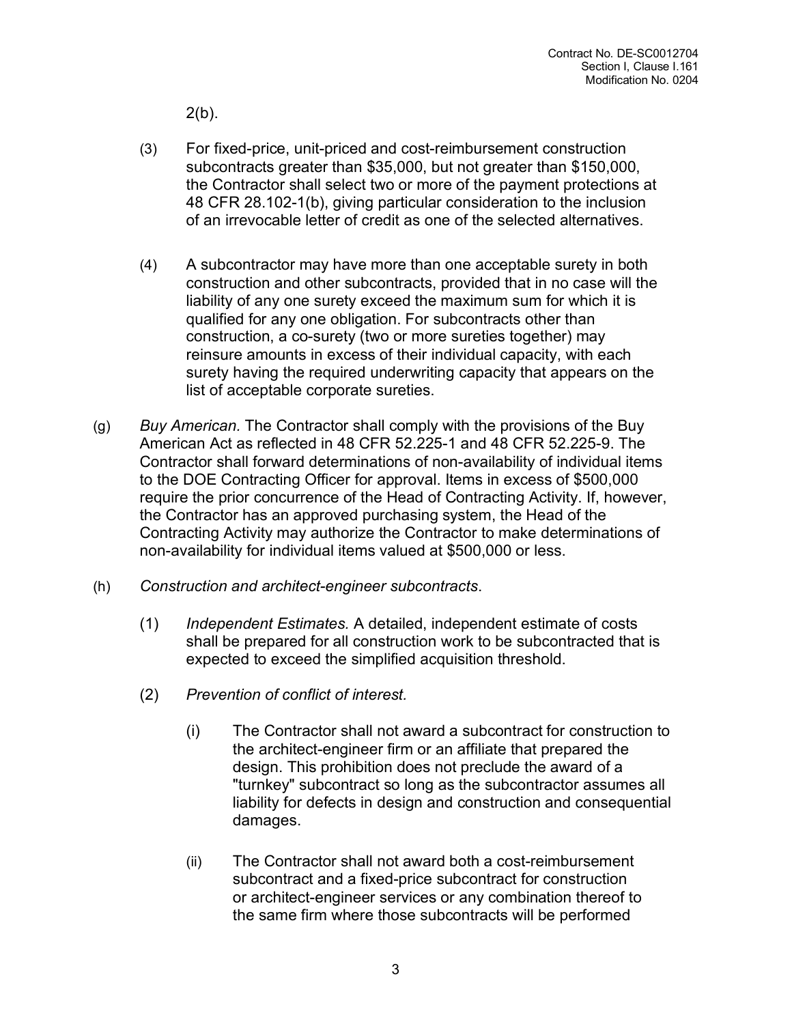$2(b)$ .

- (3) For fixed-price, unit-priced and cost-reimbursement construction subcontracts greater than \$35,000, but not greater than \$150,000, the Contractor shall select two or more of the payment protections at 48 CFR 28.102-1(b), giving particular consideration to the inclusion of an irrevocable letter of credit as one of the selected alternatives.
- (4) A subcontractor may have more than one acceptable surety in both construction and other subcontracts, provided that in no case will the liability of any one surety exceed the maximum sum for which it is qualified for any one obligation. For subcontracts other than construction, a co-surety (two or more sureties together) may reinsure amounts in excess of their individual capacity, with each surety having the required underwriting capacity that appears on the list of acceptable corporate sureties.
- (g) *Buy American.* The Contractor shall comply with the provisions of the Buy American Act as reflected in 48 CFR 52.225-1 and 48 CFR 52.225-9. The Contractor shall forward determinations of non-availability of individual items to the DOE Contracting Officer for approval. Items in excess of \$500,000 require the prior concurrence of the Head of Contracting Activity. If, however, the Contractor has an approved purchasing system, the Head of the Contracting Activity may authorize the Contractor to make determinations of non-availability for individual items valued at \$500,000 or less.
- (h) *Construction and architect-engineer subcontracts*.
	- (1) *Independent Estimates.* A detailed, independent estimate of costs shall be prepared for all construction work to be subcontracted that is expected to exceed the simplified acquisition threshold.
	- (2) *Prevention of conflict of interest.* 
		- (i) The Contractor shall not award a subcontract for construction to the architect-engineer firm or an affiliate that prepared the design. This prohibition does not preclude the award of a "turnkey" subcontract so long as the subcontractor assumes all liability for defects in design and construction and consequential damages.
		- (ii) The Contractor shall not award both a cost-reimbursement subcontract and a fixed-price subcontract for construction or architect-engineer services or any combination thereof to the same firm where those subcontracts will be performed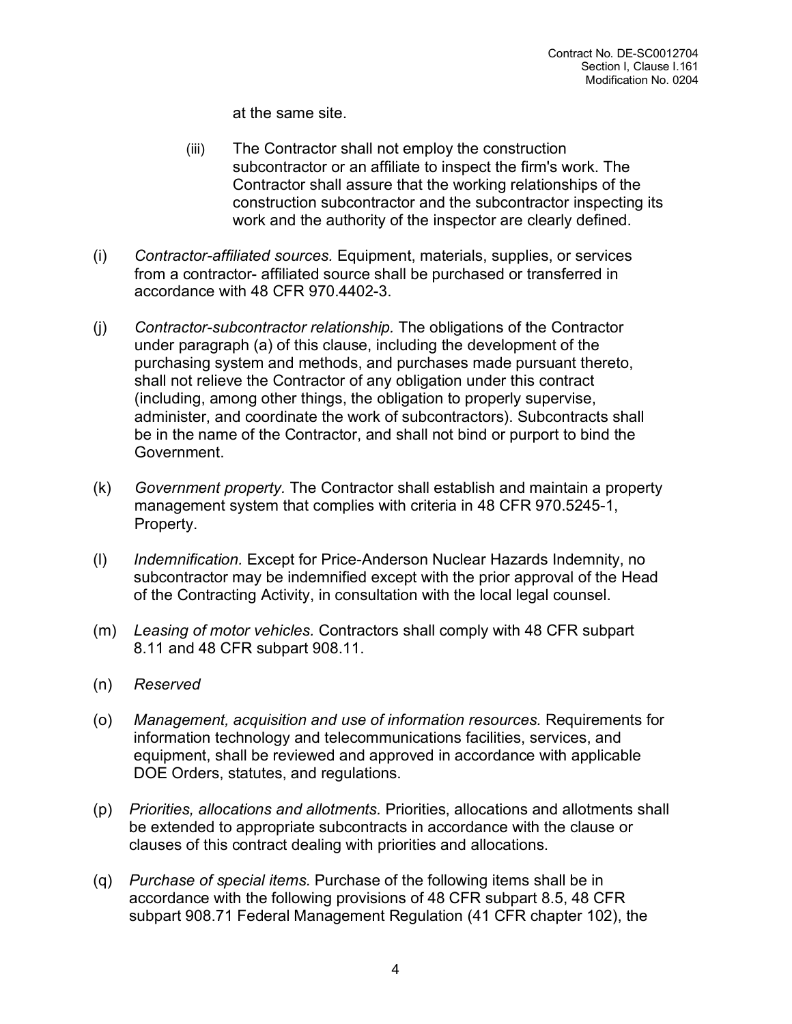at the same site.

- (iii) The Contractor shall not employ the construction subcontractor or an affiliate to inspect the firm's work. The Contractor shall assure that the working relationships of the construction subcontractor and the subcontractor inspecting its work and the authority of the inspector are clearly defined.
- (i) *Contractor-affiliated sources.* Equipment, materials, supplies, or services from a contractor- affiliated source shall be purchased or transferred in accordance with 48 CFR 970.4402-3.
- (j) *Contractor-subcontractor relationship.* The obligations of the Contractor under paragraph (a) of this clause, including the development of the purchasing system and methods, and purchases made pursuant thereto, shall not relieve the Contractor of any obligation under this contract (including, among other things, the obligation to properly supervise, administer, and coordinate the work of subcontractors). Subcontracts shall be in the name of the Contractor, and shall not bind or purport to bind the Government.
- (k) *Government property.* The Contractor shall establish and maintain a property management system that complies with criteria in 48 CFR 970.5245-1, Property.
- (l) *Indemnification.* Except for Price-Anderson Nuclear Hazards Indemnity, no subcontractor may be indemnified except with the prior approval of the Head of the Contracting Activity, in consultation with the local legal counsel.
- (m) *Leasing of motor vehicles.* Contractors shall comply with 48 CFR subpart 8.11 and 48 CFR subpart 908.11.
- (n) *Reserved*
- (o) *Management, acquisition and use of information resources.* Requirements for information technology and telecommunications facilities, services, and equipment, shall be reviewed and approved in accordance with applicable DOE Orders, statutes, and regulations.
- (p) *Priorities, allocations and allotments.* Priorities, allocations and allotments shall be extended to appropriate subcontracts in accordance with the clause or clauses of this contract dealing with priorities and allocations.
- (q) *Purchase of special items.* Purchase of the following items shall be in accordance with the following provisions of 48 CFR subpart 8.5, 48 CFR subpart 908.71 Federal Management Regulation (41 CFR chapter 102), the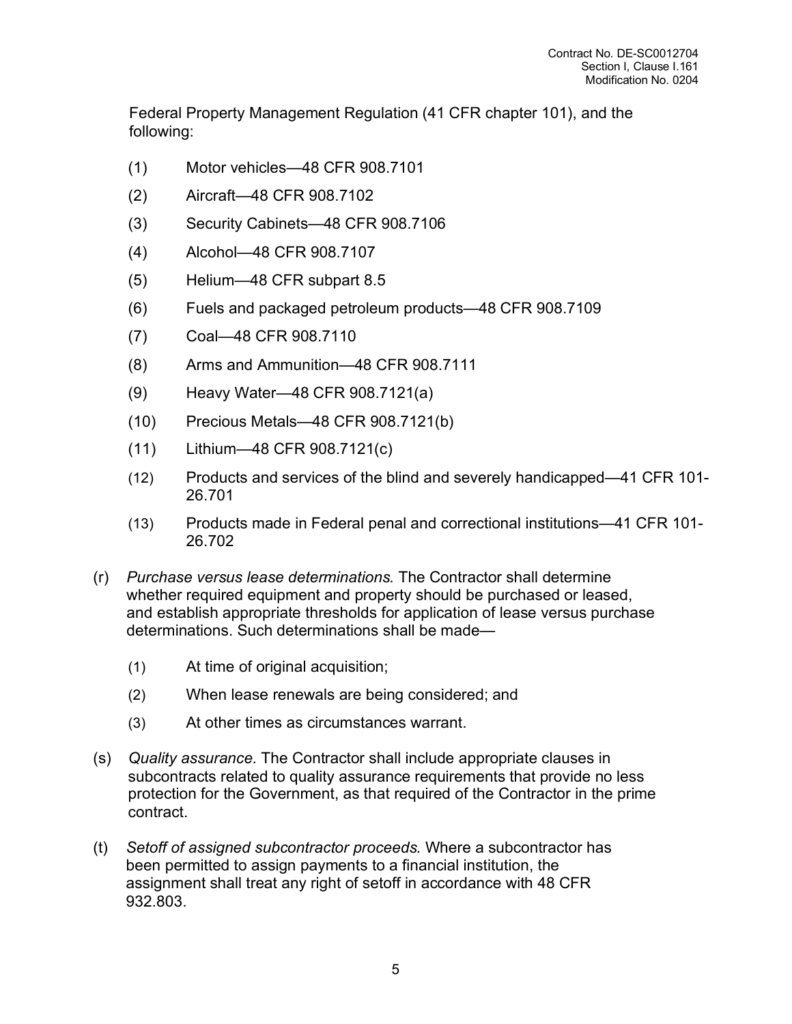Federal Property Management Regulation (41 CFR chapter 101), and the following:

- (1) Motor vehicles—48 CFR 908.7101
- (2) Aircraft—48 CFR 908.7102
- (3) Security Cabinets—48 CFR 908.7106
- (4) Alcohol—48 CFR 908.7107
- (5) Helium—48 CFR subpart 8.5
- (6) Fuels and packaged petroleum products—48 CFR 908.7109
- (7) Coal—48 CFR 908.7110
- (8) Arms and Ammunition—48 CFR 908.7111
- (9) Heavy Water—48 CFR 908.7121(a)
- (10) Precious Metals—48 CFR 908.7121(b)
- (11) Lithium—48 CFR 908.7121(c)
- (12) Products and services of the blind and severely handicapped—41 CFR 101- 26.701
- (13) Products made in Federal penal and correctional institutions—41 CFR 101- 26.702
- (r) *Purchase versus lease determinations.* The Contractor shall determine whether required equipment and property should be purchased or leased, and establish appropriate thresholds for application of lease versus purchase determinations. Such determinations shall be made—
	- (1) At time of original acquisition;
	- (2) When lease renewals are being considered; and
	- (3) At other times as circumstances warrant.
- (s) *Quality assurance.* The Contractor shall include appropriate clauses in subcontracts related to quality assurance requirements that provide no less protection for the Government, as that required of the Contractor in the prime contract.
- (t) *Setoff of assigned subcontractor proceeds.* Where a subcontractor has been permitted to assign payments to a financial institution, the assignment shall treat any right of setoff in accordance with 48 CFR 932.803.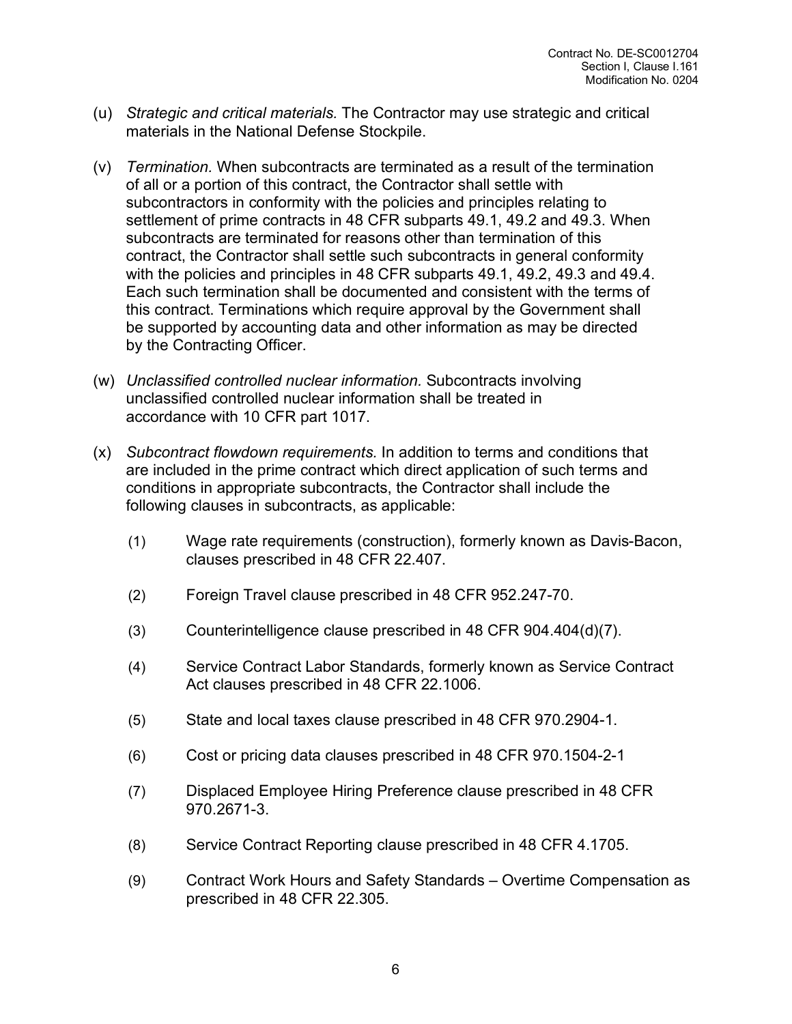- (u) *Strategic and critical materials.* The Contractor may use strategic and critical materials in the National Defense Stockpile.
- (v) *Termination.* When subcontracts are terminated as a result of the termination of all or a portion of this contract, the Contractor shall settle with subcontractors in conformity with the policies and principles relating to settlement of prime contracts in 48 CFR subparts 49.1, 49.2 and 49.3. When subcontracts are terminated for reasons other than termination of this contract, the Contractor shall settle such subcontracts in general conformity with the policies and principles in 48 CFR subparts 49.1, 49.2, 49.3 and 49.4. Each such termination shall be documented and consistent with the terms of this contract. Terminations which require approval by the Government shall be supported by accounting data and other information as may be directed by the Contracting Officer.
- (w) *Unclassified controlled nuclear information.* Subcontracts involving unclassified controlled nuclear information shall be treated in accordance with 10 CFR part 1017.
- (x) *Subcontract flowdown requirements.* In addition to terms and conditions that are included in the prime contract which direct application of such terms and conditions in appropriate subcontracts, the Contractor shall include the following clauses in subcontracts, as applicable:
	- (1) Wage rate requirements (construction), formerly known as Davis-Bacon, clauses prescribed in 48 CFR 22.407.
	- (2) Foreign Travel clause prescribed in 48 CFR 952.247-70.
	- (3) Counterintelligence clause prescribed in 48 CFR 904.404(d)(7).
	- (4) Service Contract Labor Standards, formerly known as Service Contract Act clauses prescribed in 48 CFR 22.1006.
	- (5) State and local taxes clause prescribed in 48 CFR 970.2904-1.
	- (6) Cost or pricing data clauses prescribed in 48 CFR 970.1504-2-1
	- (7) Displaced Employee Hiring Preference clause prescribed in 48 CFR 970.2671-3.
	- (8) Service Contract Reporting clause prescribed in 48 CFR 4.1705.
	- (9) Contract Work Hours and Safety Standards Overtime Compensation as prescribed in 48 CFR 22.305.